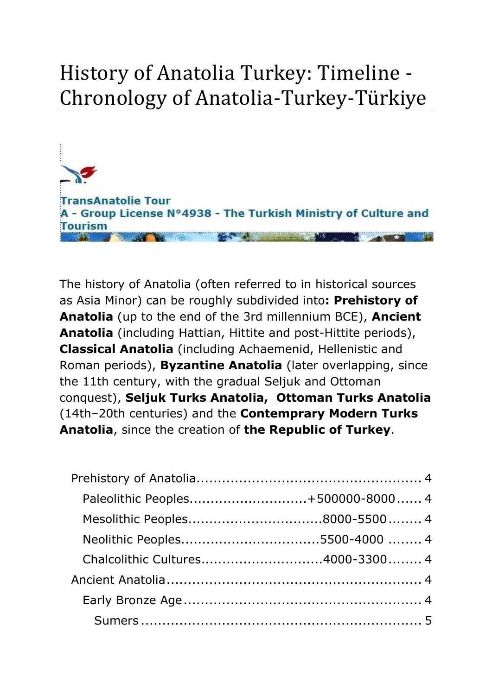# History of Anatolia Turkey: Timeline - Chronology of Anatolia-Turkey-Türkiye

**TransAnatolie Tour** A - Group License N°4938 - The Turkish Ministry of Culture and **Tourism** 

The history of Anatolia (often referred to in historical sources as Asia Minor) can be roughly subdivided into**: Prehistory of Anatolia** (up to the end of the 3rd millennium BCE), **Ancient Anatolia** (including Hattian, Hittite and post-Hittite periods), **Classical Anatolia** (including Achaemenid, Hellenistic and Roman periods), **Byzantine Anatolia** (later overlapping, since the 11th century, with the gradual Seljuk and Ottoman conquest), **Seljuk Turks Anatolia, Ottoman Turks Anatolia** (14th–20th centuries) and the **Contemprary Modern Turks Anatolia**, since the creation of **the Republic of Turkey**.

<span id="page-0-0"></span>

| Paleolithic Peoples+500000-8000 4 |  |
|-----------------------------------|--|
| Mesolithic Peoples8000-5500 4     |  |
| Neolithic Peoples5500-4000  4     |  |
| Chalcolithic Cultures4000-3300 4  |  |
|                                   |  |
|                                   |  |
|                                   |  |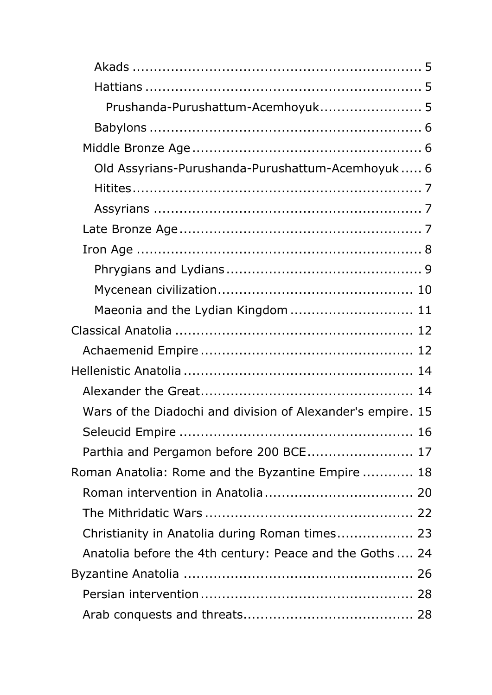| Prushanda-Purushattum-Acemhoyuk 5                           |  |
|-------------------------------------------------------------|--|
|                                                             |  |
|                                                             |  |
| Old Assyrians-Purushanda-Purushattum-Acemhoyuk  6           |  |
|                                                             |  |
|                                                             |  |
|                                                             |  |
|                                                             |  |
|                                                             |  |
|                                                             |  |
| Maeonia and the Lydian Kingdom  11                          |  |
|                                                             |  |
|                                                             |  |
|                                                             |  |
|                                                             |  |
| Wars of the Diadochi and division of Alexander's empire. 15 |  |
|                                                             |  |
| Parthia and Pergamon before 200 BCE 17                      |  |
| Roman Anatolia: Rome and the Byzantine Empire  18           |  |
|                                                             |  |
|                                                             |  |
| Christianity in Anatolia during Roman times 23              |  |
| Anatolia before the 4th century: Peace and the Goths  24    |  |
|                                                             |  |
|                                                             |  |
|                                                             |  |
|                                                             |  |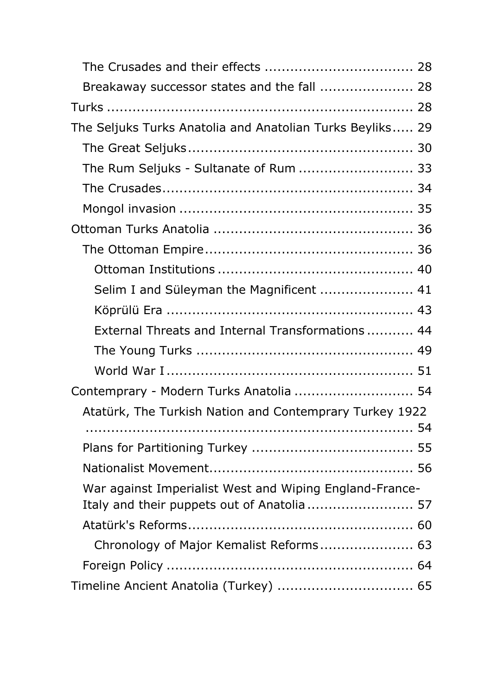| Breakaway successor states and the fall  28               |  |
|-----------------------------------------------------------|--|
|                                                           |  |
| The Seljuks Turks Anatolia and Anatolian Turks Beyliks 29 |  |
|                                                           |  |
| The Rum Seljuks - Sultanate of Rum  33                    |  |
|                                                           |  |
|                                                           |  |
|                                                           |  |
|                                                           |  |
|                                                           |  |
| Selim I and Süleyman the Magnificent  41                  |  |
|                                                           |  |
| External Threats and Internal Transformations 44          |  |
|                                                           |  |
|                                                           |  |
| Contemprary - Modern Turks Anatolia  54                   |  |
| Atatürk, The Turkish Nation and Contemprary Turkey 1922   |  |
|                                                           |  |
|                                                           |  |
|                                                           |  |
| War against Imperialist West and Wiping England-France-   |  |
|                                                           |  |
|                                                           |  |
|                                                           |  |
|                                                           |  |
|                                                           |  |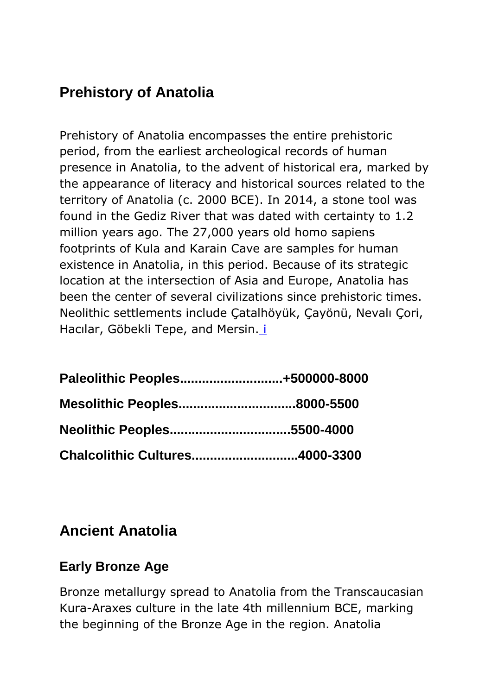# <span id="page-3-0"></span>**Prehistory of Anatolia**

Prehistory of Anatolia encompasses the entire prehistoric period, from the earliest archeological records of human presence in Anatolia, to the advent of historical era, marked by the appearance of literacy and historical sources related to the territory of Anatolia (c. 2000 BCE). In 2014, a stone tool was found in the Gediz River that was dated with certainty to 1.2 million years ago. The 27,000 years old homo sapiens footprints of Kula and Karain Cave are samples for human existence in Anatolia, in this period. Because of its strategic location at the intersection of Asia and Europe, Anatolia has been the center of several civilizations since prehistoric times. Neolithic settlements include Çatalhöyük, Çayönü, Nevalı Çori, Hacılar, Göbekli Tepe, and Mersin. [i](#page-0-0)

<span id="page-3-3"></span><span id="page-3-2"></span><span id="page-3-1"></span>

| Paleolithic Peoples+500000-8000       |  |
|---------------------------------------|--|
| Mesolithic Peoples8000-5500           |  |
| Neolithic Peoples5500-4000            |  |
| <b>Chalcolithic Cultures4000-3300</b> |  |

# <span id="page-3-5"></span><span id="page-3-4"></span>**Ancient Anatolia**

# <span id="page-3-6"></span>**Early Bronze Age**

Bronze metallurgy spread to Anatolia from the Transcaucasian Kura-Araxes culture in the late 4th millennium BCE, marking the beginning of the Bronze Age in the region. Anatolia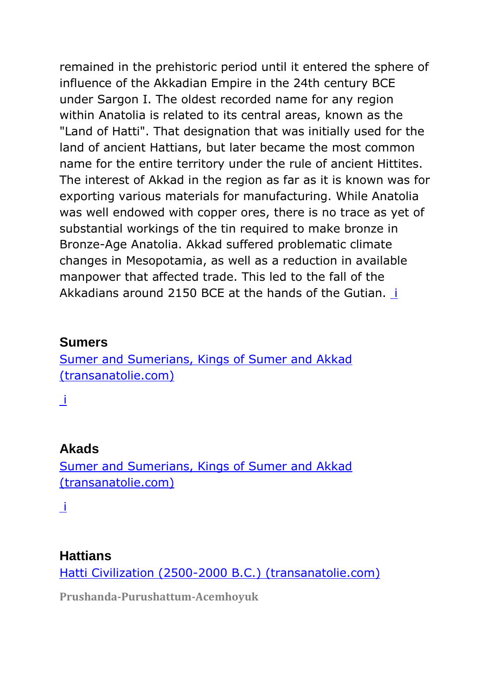remained in the prehistoric period until it entered the sphere of influence of the Akkadian Empire in the 24th century BCE under Sargon I. The oldest recorded name for any region within Anatolia is related to its central areas, known as the "Land of Hatti". That designation that was initially used for the land of ancient Hattians, but later became the most common name for the entire territory under the rule of ancient Hittites. The interest of Akkad in the region as far as it is known was for exporting various materials for manufacturing. While Anatolia was well endowed with copper ores, there is no trace as yet of substantial workings of the tin required to make bronze in Bronze-Age Anatolia. Akkad suffered problematic climate changes in Mesopotamia, as well as a reduction in available manpower that affected trade. This led to the fall of the Akkadians around 2150 BCE at the hands of the Gutian. [i](#page-0-0)

#### <span id="page-4-0"></span>**Sumers**

[Sumer and Sumerians, Kings of Sumer and Akkad](https://transanatolie.com/English/Turkey/Anatolia/sumer_%26_akkad.htm)  [\(transanatolie.com\)](https://transanatolie.com/English/Turkey/Anatolia/sumer_%26_akkad.htm)

[i](#page-0-0)

#### <span id="page-4-1"></span>**Akads**

[Sumer and Sumerians, Kings of Sumer and Akkad](https://transanatolie.com/English/Turkey/Anatolia/sumer_%26_akkad.htm)  [\(transanatolie.com\)](https://transanatolie.com/English/Turkey/Anatolia/sumer_%26_akkad.htm)

 $\perp$ 

#### <span id="page-4-2"></span>**Hattians**

[Hatti Civilization \(2500-2000 B.C.\) \(transanatolie.com\)](https://transanatolie.com/English/Turkey/Anatolia/hatties.htm)

<span id="page-4-3"></span>**Prushanda-Purushattum-Acemhoyuk**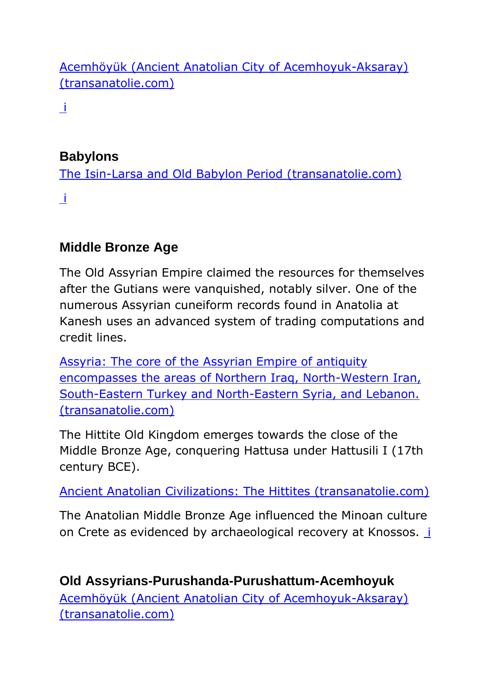[Acemhöyük \(Ancient Anatolian City of Acemhoyuk-Aksaray\)](https://transanatolie.com/English/Turkey/Anatolia/Ancient%20Cities/Acemhoyuk/acemhoyuk.htm)  [\(transanatolie.com\)](https://transanatolie.com/English/Turkey/Anatolia/Ancient%20Cities/Acemhoyuk/acemhoyuk.htm)

[i](#page-0-0)

### <span id="page-5-0"></span>**Babylons**

[The Isin-Larsa and Old Babylon Period \(transanatolie.com\)](https://transanatolie.com/English/Turkey/Anatolia/babylonia.htm) [i](#page-0-0)

# <span id="page-5-1"></span>**Middle Bronze Age**

The Old Assyrian Empire claimed the resources for themselves after the Gutians were vanquished, notably silver. One of the numerous Assyrian cuneiform records found in Anatolia at Kanesh uses an advanced system of trading computations and credit lines.

[Assyria: The core of the Assyrian Empire of antiquity](https://transanatolie.com/English/Turkey/Anatolia/assyria.htm)  [encompasses the areas of Northern Iraq, North-Western Iran,](https://transanatolie.com/English/Turkey/Anatolia/assyria.htm)  [South-Eastern Turkey and North-Eastern Syria, and Lebanon.](https://transanatolie.com/English/Turkey/Anatolia/assyria.htm)  [\(transanatolie.com\)](https://transanatolie.com/English/Turkey/Anatolia/assyria.htm)

The Hittite Old Kingdom emerges towards the close of the Middle Bronze Age, conquering Hattusa under Hattusili I (17th century BCE).

[Ancient Anatolian Civilizations: The Hittites \(transanatolie.com\)](https://transanatolie.com/English/Turkey/Anatolia/hittites.htm)

The Anatolian Middle Bronze Age influenced the Minoan culture on Crete as evidenced by archaeological recovery at Knossos. [i](#page-0-0)

<span id="page-5-2"></span>**Old Assyrians-Purushanda-Purushattum-Acemhoyuk** [Acemhöyük \(Ancient Anatolian City of Acemhoyuk-Aksaray\)](https://transanatolie.com/English/Turkey/Anatolia/Ancient%20Cities/Acemhoyuk/acemhoyuk.htm)  [\(transanatolie.com\)](https://transanatolie.com/English/Turkey/Anatolia/Ancient%20Cities/Acemhoyuk/acemhoyuk.htm)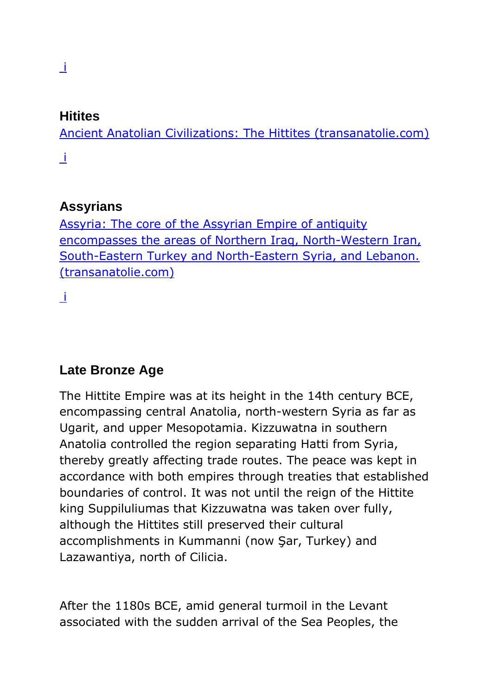# <span id="page-6-0"></span>**Hitites**

[Ancient Anatolian Civilizations: The Hittites \(transanatolie.com\)](https://transanatolie.com/English/Turkey/Anatolia/hittites.htm) [i](#page-0-0)

**Assyrians**

<span id="page-6-1"></span>[Assyria: The core of the Assyrian Empire of antiquity](https://transanatolie.com/English/Turkey/Anatolia/assyria.htm)  [encompasses the areas of Northern Iraq, North-Western Iran,](https://transanatolie.com/English/Turkey/Anatolia/assyria.htm)  [South-Eastern Turkey and North-Eastern Syria, and Lebanon.](https://transanatolie.com/English/Turkey/Anatolia/assyria.htm)  [\(transanatolie.com\)](https://transanatolie.com/English/Turkey/Anatolia/assyria.htm)

[i](#page-0-0)

# <span id="page-6-2"></span>**Late Bronze Age**

The Hittite Empire was at its height in the 14th century BCE, encompassing central Anatolia, north-western Syria as far as Ugarit, and upper Mesopotamia. Kizzuwatna in southern Anatolia controlled the region separating Hatti from Syria, thereby greatly affecting trade routes. The peace was kept in accordance with both empires through treaties that established boundaries of control. It was not until the reign of the Hittite king Suppiluliumas that Kizzuwatna was taken over fully, although the Hittites still preserved their cultural accomplishments in Kummanni (now Şar, Turkey) and Lazawantiya, north of Cilicia.

After the 1180s BCE, amid general turmoil in the Levant associated with the sudden arrival of the Sea Peoples, the

[i](#page-0-0)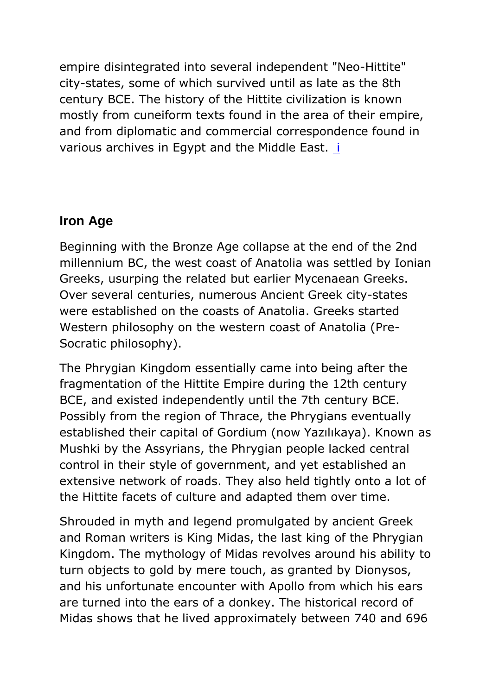empire disintegrated into several independent "Neo-Hittite" city-states, some of which survived until as late as the 8th century BCE. The history of the Hittite civilization is known mostly from cuneiform texts found in the area of their empire, and from diplomatic and commercial correspondence found in various archives in Egypt and the Middle East. [i](#page-0-0)

# <span id="page-7-0"></span>**Iron Age**

Beginning with the Bronze Age collapse at the end of the 2nd millennium BC, the west coast of Anatolia was settled by Ionian Greeks, usurping the related but earlier Mycenaean Greeks. Over several centuries, numerous Ancient Greek city-states were established on the coasts of Anatolia. Greeks started Western philosophy on the western coast of Anatolia (Pre-Socratic philosophy).

The Phrygian Kingdom essentially came into being after the fragmentation of the Hittite Empire during the 12th century BCE, and existed independently until the 7th century BCE. Possibly from the region of Thrace, the Phrygians eventually established their capital of Gordium (now Yazılıkaya). Known as Mushki by the Assyrians, the Phrygian people lacked central control in their style of government, and yet established an extensive network of roads. They also held tightly onto a lot of the Hittite facets of culture and adapted them over time.

Shrouded in myth and legend promulgated by ancient Greek and Roman writers is King Midas, the last king of the Phrygian Kingdom. The mythology of Midas revolves around his ability to turn objects to gold by mere touch, as granted by Dionysos, and his unfortunate encounter with Apollo from which his ears are turned into the ears of a donkey. The historical record of Midas shows that he lived approximately between 740 and 696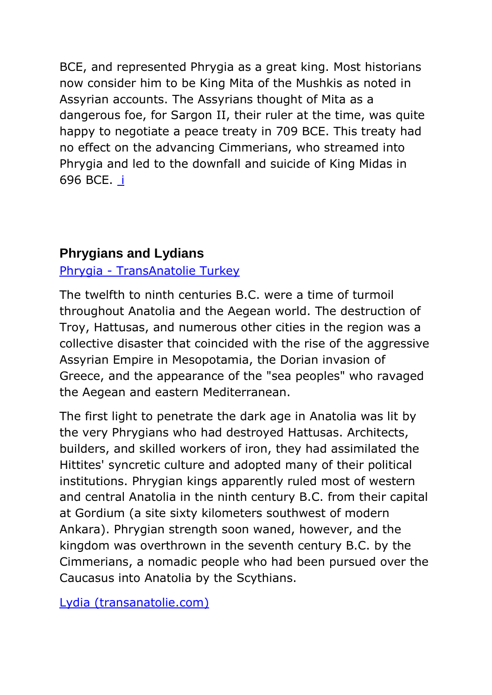BCE, and represented Phrygia as a great king. Most historians now consider him to be King Mita of the Mushkis as noted in Assyrian accounts. The Assyrians thought of Mita as a dangerous foe, for Sargon II, their ruler at the time, was quite happy to negotiate a peace treaty in 709 BCE. This treaty had no effect on the advancing Cimmerians, who streamed into Phrygia and led to the downfall and suicide of King Midas in 696 BCE. [i](#page-0-0)

#### <span id="page-8-0"></span>**Phrygians and Lydians**

Phrygia - [TransAnatolie Turkey](https://transanatolie.com/English/Turkey/Anatolia/phrygia.htm)

The twelfth to ninth centuries B.C. were a time of turmoil throughout Anatolia and the Aegean world. The destruction of Troy, Hattusas, and numerous other cities in the region was a collective disaster that coincided with the rise of the aggressive Assyrian Empire in Mesopotamia, the Dorian invasion of Greece, and the appearance of the "sea peoples" who ravaged the Aegean and eastern Mediterranean.

The first light to penetrate the dark age in Anatolia was lit by the very Phrygians who had destroyed Hattusas. Architects, builders, and skilled workers of iron, they had assimilated the Hittites' syncretic culture and adopted many of their political institutions. Phrygian kings apparently ruled most of western and central Anatolia in the ninth century B.C. from their capital at Gordium (a site sixty kilometers southwest of modern Ankara). Phrygian strength soon waned, however, and the kingdom was overthrown in the seventh century B.C. by the Cimmerians, a nomadic people who had been pursued over the Caucasus into Anatolia by the Scythians.

[Lydia \(transanatolie.com\)](https://transanatolie.com/English/Turkey/Anatolia/lydia.htm)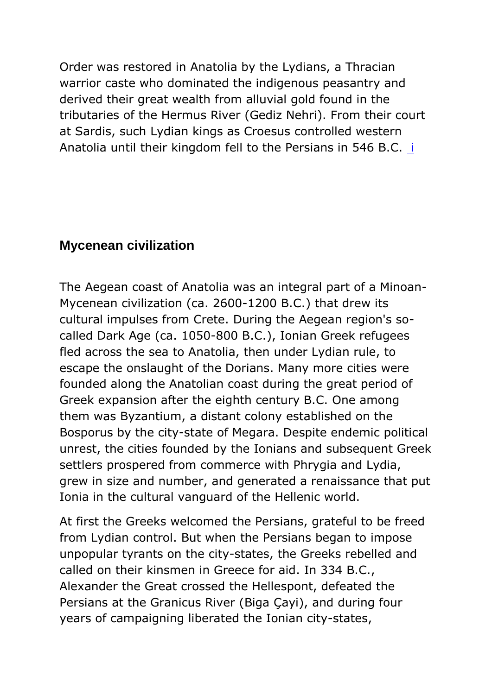Order was restored in Anatolia by the Lydians, a Thracian warrior caste who dominated the indigenous peasantry and derived their great wealth from alluvial gold found in the tributaries of the Hermus River (Gediz Nehri). From their court at Sardis, such Lydian kings as Croesus controlled western Anatolia until their kingdom fell to the Persians in 546 B.C. [i](#page-0-0)

#### <span id="page-9-0"></span>**Mycenean civilization**

The Aegean coast of Anatolia was an integral part of a Minoan-Mycenean civilization (ca. 2600-1200 B.C.) that drew its cultural impulses from Crete. During the Aegean region's socalled Dark Age (ca. 1050-800 B.C.), Ionian Greek refugees fled across the sea to Anatolia, then under Lydian rule, to escape the onslaught of the Dorians. Many more cities were founded along the Anatolian coast during the great period of Greek expansion after the eighth century B.C. One among them was Byzantium, a distant colony established on the Bosporus by the city-state of Megara. Despite endemic political unrest, the cities founded by the Ionians and subsequent Greek settlers prospered from commerce with Phrygia and Lydia, grew in size and number, and generated a renaissance that put Ionia in the cultural vanguard of the Hellenic world.

At first the Greeks welcomed the Persians, grateful to be freed from Lydian control. But when the Persians began to impose unpopular tyrants on the city-states, the Greeks rebelled and called on their kinsmen in Greece for aid. In 334 B.C., Alexander the Great crossed the Hellespont, defeated the Persians at the Granicus River (Biga Çayi), and during four years of campaigning liberated the Ionian city-states,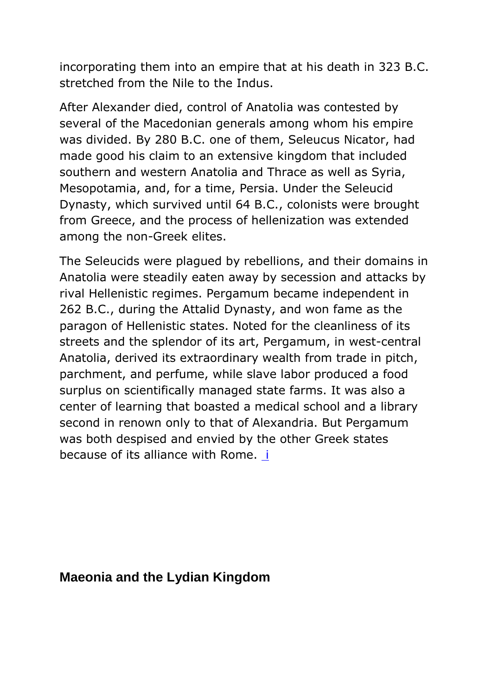incorporating them into an empire that at his death in 323 B.C. stretched from the Nile to the Indus.

After Alexander died, control of Anatolia was contested by several of the Macedonian generals among whom his empire was divided. By 280 B.C. one of them, Seleucus Nicator, had made good his claim to an extensive kingdom that included southern and western Anatolia and Thrace as well as Syria, Mesopotamia, and, for a time, Persia. Under the Seleucid Dynasty, which survived until 64 B.C., colonists were brought from Greece, and the process of hellenization was extended among the non-Greek elites.

The Seleucids were plagued by rebellions, and their domains in Anatolia were steadily eaten away by secession and attacks by rival Hellenistic regimes. Pergamum became independent in 262 B.C., during the Attalid Dynasty, and won fame as the paragon of Hellenistic states. Noted for the cleanliness of its streets and the splendor of its art, Pergamum, in west-central Anatolia, derived its extraordinary wealth from trade in pitch, parchment, and perfume, while slave labor produced a food surplus on scientifically managed state farms. It was also a center of learning that boasted a medical school and a library second in renown only to that of Alexandria. But Pergamum was both despised and envied by the other Greek states because of [i](#page-0-0)ts alliance with Rome. *i* 

#### <span id="page-10-0"></span>**Maeonia and the Lydian Kingdom**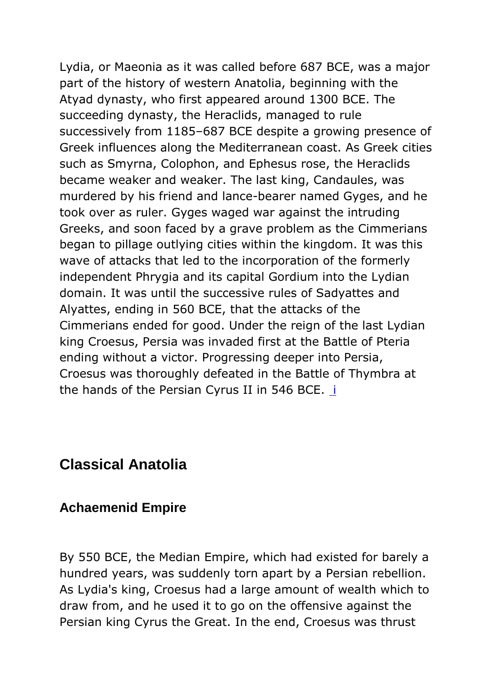Lydia, or Maeonia as it was called before 687 BCE, was a major part of the history of western Anatolia, beginning with the Atyad dynasty, who first appeared around 1300 BCE. The succeeding dynasty, the Heraclids, managed to rule successively from 1185–687 BCE despite a growing presence of Greek influences along the Mediterranean coast. As Greek cities such as Smyrna, Colophon, and Ephesus rose, the Heraclids became weaker and weaker. The last king, Candaules, was murdered by his friend and lance-bearer named Gyges, and he took over as ruler. Gyges waged war against the intruding Greeks, and soon faced by a grave problem as the Cimmerians began to pillage outlying cities within the kingdom. It was this wave of attacks that led to the incorporation of the formerly independent Phrygia and its capital Gordium into the Lydian domain. It was until the successive rules of Sadyattes and Alyattes, ending in 560 BCE, that the attacks of the Cimmerians ended for good. Under the reign of the last Lydian king Croesus, Persia was invaded first at the Battle of Pteria ending without a victor. Progressing deeper into Persia, Croesus was thoroughly defeated in the Battle of Thymbra at the hands of the Pers[i](#page-0-0)an Cyrus II in 546 BCE. i

# <span id="page-11-0"></span>**Classical Anatolia**

#### <span id="page-11-1"></span>**Achaemenid Empire**

By 550 BCE, the Median Empire, which had existed for barely a hundred years, was suddenly torn apart by a Persian rebellion. As Lydia's king, Croesus had a large amount of wealth which to draw from, and he used it to go on the offensive against the Persian king Cyrus the Great. In the end, Croesus was thrust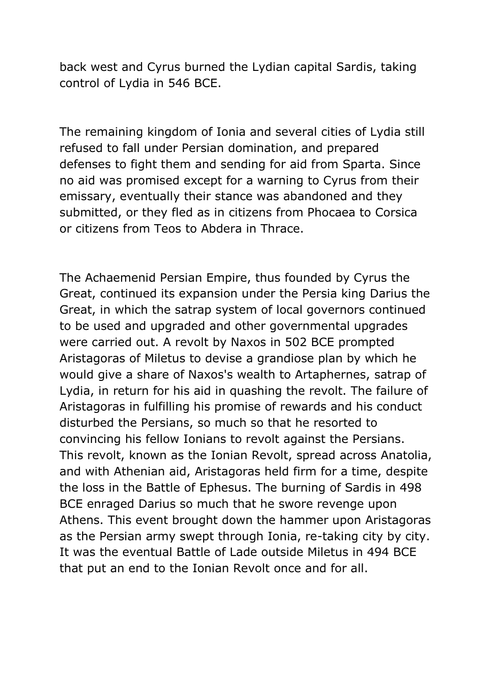back west and Cyrus burned the Lydian capital Sardis, taking control of Lydia in 546 BCE.

The remaining kingdom of Ionia and several cities of Lydia still refused to fall under Persian domination, and prepared defenses to fight them and sending for aid from Sparta. Since no aid was promised except for a warning to Cyrus from their emissary, eventually their stance was abandoned and they submitted, or they fled as in citizens from Phocaea to Corsica or citizens from Teos to Abdera in Thrace.

The Achaemenid Persian Empire, thus founded by Cyrus the Great, continued its expansion under the Persia king Darius the Great, in which the satrap system of local governors continued to be used and upgraded and other governmental upgrades were carried out. A revolt by Naxos in 502 BCE prompted Aristagoras of Miletus to devise a grandiose plan by which he would give a share of Naxos's wealth to Artaphernes, satrap of Lydia, in return for his aid in quashing the revolt. The failure of Aristagoras in fulfilling his promise of rewards and his conduct disturbed the Persians, so much so that he resorted to convincing his fellow Ionians to revolt against the Persians. This revolt, known as the Ionian Revolt, spread across Anatolia, and with Athenian aid, Aristagoras held firm for a time, despite the loss in the Battle of Ephesus. The burning of Sardis in 498 BCE enraged Darius so much that he swore revenge upon Athens. This event brought down the hammer upon Aristagoras as the Persian army swept through Ionia, re-taking city by city. It was the eventual Battle of Lade outside Miletus in 494 BCE that put an end to the Ionian Revolt once and for all.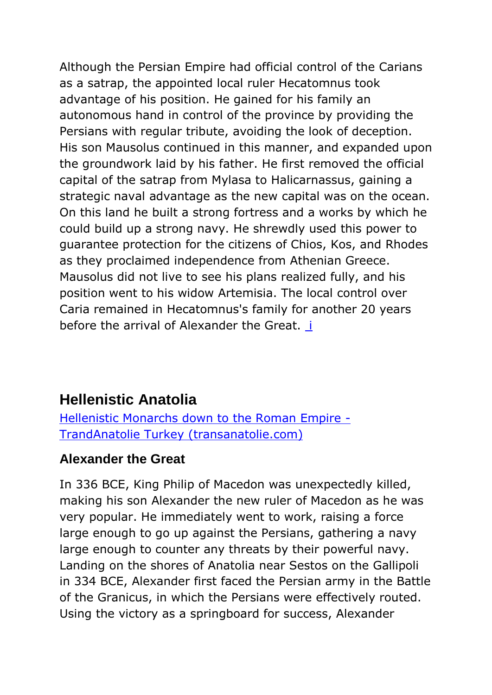Although the Persian Empire had official control of the Carians as a satrap, the appointed local ruler Hecatomnus took advantage of his position. He gained for his family an autonomous hand in control of the province by providing the Persians with regular tribute, avoiding the look of deception. His son Mausolus continued in this manner, and expanded upon the groundwork laid by his father. He first removed the official capital of the satrap from Mylasa to Halicarnassus, gaining a strategic naval advantage as the new capital was on the ocean. On this land he built a strong fortress and a works by which he could build up a strong navy. He shrewdly used this power to guarantee protection for the citizens of Chios, Kos, and Rhodes as they proclaimed independence from Athenian Greece. Mausolus did not live to see his plans realized fully, and his position went to his widow Artemisia. The local control over Caria remained in Hecatomnus's family for another 20 years before the arrival of Alexander the Great. [i](#page-0-0)

# <span id="page-13-0"></span>**Hellenistic Anatolia**

[Hellenistic Monarchs down to the Roman Empire -](https://transanatolie.com/English/Turkey/Anatolia/Hellens/hellens.htm) [TrandAnatolie Turkey \(transanatolie.com\)](https://transanatolie.com/English/Turkey/Anatolia/Hellens/hellens.htm)

#### <span id="page-13-1"></span>**Alexander the Great**

In 336 BCE, King Philip of Macedon was unexpectedly killed, making his son Alexander the new ruler of Macedon as he was very popular. He immediately went to work, raising a force large enough to go up against the Persians, gathering a navy large enough to counter any threats by their powerful navy. Landing on the shores of Anatolia near Sestos on the Gallipoli in 334 BCE, Alexander first faced the Persian army in the Battle of the Granicus, in which the Persians were effectively routed. Using the victory as a springboard for success, Alexander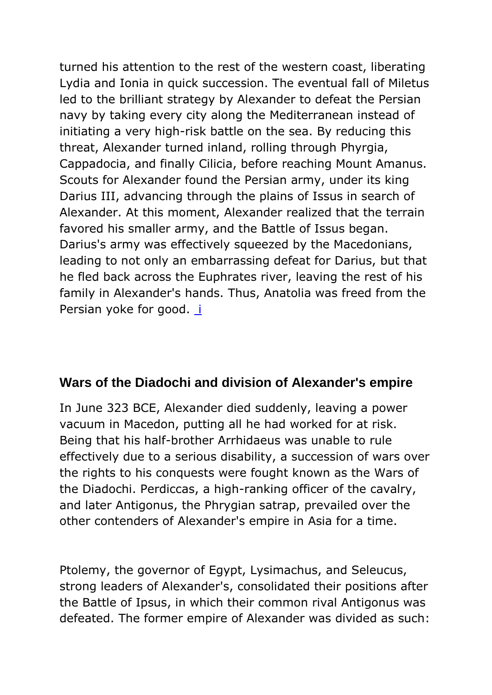turned his attention to the rest of the western coast, liberating Lydia and Ionia in quick succession. The eventual fall of Miletus led to the brilliant strategy by Alexander to defeat the Persian navy by taking every city along the Mediterranean instead of initiating a very high-risk battle on the sea. By reducing this threat, Alexander turned inland, rolling through Phyrgia, Cappadocia, and finally Cilicia, before reaching Mount Amanus. Scouts for Alexander found the Persian army, under its king Darius III, advancing through the plains of Issus in search of Alexander. At this moment, Alexander realized that the terrain favored his smaller army, and the Battle of Issus began. Darius's army was effectively squeezed by the Macedonians, leading to not only an embarrassing defeat for Darius, but that he fled back across the Euphrates river, leaving the rest of his family in Alexander's hands. Thus, Anatolia was freed from the Persian yoke for good. [i](#page-0-0)

#### <span id="page-14-0"></span>**Wars of the Diadochi and division of Alexander's empire**

In June 323 BCE, Alexander died suddenly, leaving a power vacuum in Macedon, putting all he had worked for at risk. Being that his half-brother Arrhidaeus was unable to rule effectively due to a serious disability, a succession of wars over the rights to his conquests were fought known as the Wars of the Diadochi. Perdiccas, a high-ranking officer of the cavalry, and later Antigonus, the Phrygian satrap, prevailed over the other contenders of Alexander's empire in Asia for a time.

Ptolemy, the governor of Egypt, Lysimachus, and Seleucus, strong leaders of Alexander's, consolidated their positions after the Battle of Ipsus, in which their common rival Antigonus was defeated. The former empire of Alexander was divided as such: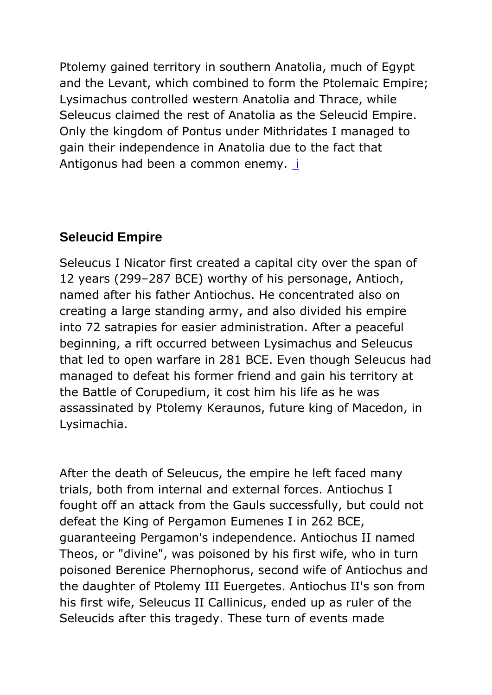Ptolemy gained territory in southern Anatolia, much of Egypt and the Levant, which combined to form the Ptolemaic Empire; Lysimachus controlled western Anatolia and Thrace, while Seleucus claimed the rest of Anatolia as the Seleucid Empire. Only the kingdom of Pontus under Mithridates I managed to gain their independence in Anatolia due to the fact that Antigonus had been a common enemy. [i](#page-0-0)

#### <span id="page-15-0"></span>**Seleucid Empire**

Seleucus I Nicator first created a capital city over the span of 12 years (299–287 BCE) worthy of his personage, Antioch, named after his father Antiochus. He concentrated also on creating a large standing army, and also divided his empire into 72 satrapies for easier administration. After a peaceful beginning, a rift occurred between Lysimachus and Seleucus that led to open warfare in 281 BCE. Even though Seleucus had managed to defeat his former friend and gain his territory at the Battle of Corupedium, it cost him his life as he was assassinated by Ptolemy Keraunos, future king of Macedon, in Lysimachia.

After the death of Seleucus, the empire he left faced many trials, both from internal and external forces. Antiochus I fought off an attack from the Gauls successfully, but could not defeat the King of Pergamon Eumenes I in 262 BCE, guaranteeing Pergamon's independence. Antiochus II named Theos, or "divine", was poisoned by his first wife, who in turn poisoned Berenice Phernophorus, second wife of Antiochus and the daughter of Ptolemy III Euergetes. Antiochus II's son from his first wife, Seleucus II Callinicus, ended up as ruler of the Seleucids after this tragedy. These turn of events made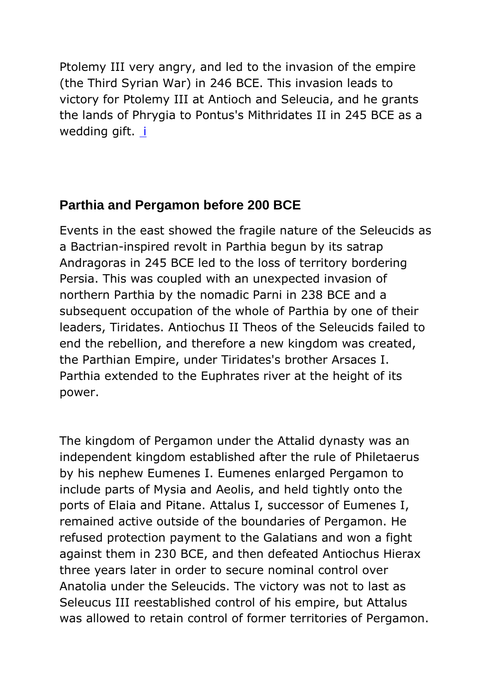Ptolemy III very angry, and led to the invasion of the empire (the Third Syrian War) in 246 BCE. This invasion leads to victory for Ptolemy III at Antioch and Seleucia, and he grants the lands of Phrygia to Pontus's Mithridates II in 245 BCE as a wedd[i](#page-0-0)ng gift.  $i$ 

# <span id="page-16-0"></span>**Parthia and Pergamon before 200 BCE**

Events in the east showed the fragile nature of the Seleucids as a Bactrian-inspired revolt in Parthia begun by its satrap Andragoras in 245 BCE led to the loss of territory bordering Persia. This was coupled with an unexpected invasion of northern Parthia by the nomadic Parni in 238 BCE and a subsequent occupation of the whole of Parthia by one of their leaders, Tiridates. Antiochus II Theos of the Seleucids failed to end the rebellion, and therefore a new kingdom was created, the Parthian Empire, under Tiridates's brother Arsaces I. Parthia extended to the Euphrates river at the height of its power.

The kingdom of Pergamon under the Attalid dynasty was an independent kingdom established after the rule of Philetaerus by his nephew Eumenes I. Eumenes enlarged Pergamon to include parts of Mysia and Aeolis, and held tightly onto the ports of Elaia and Pitane. Attalus I, successor of Eumenes I, remained active outside of the boundaries of Pergamon. He refused protection payment to the Galatians and won a fight against them in 230 BCE, and then defeated Antiochus Hierax three years later in order to secure nominal control over Anatolia under the Seleucids. The victory was not to last as Seleucus III reestablished control of his empire, but Attalus was allowed to retain control of former territories of Pergamon.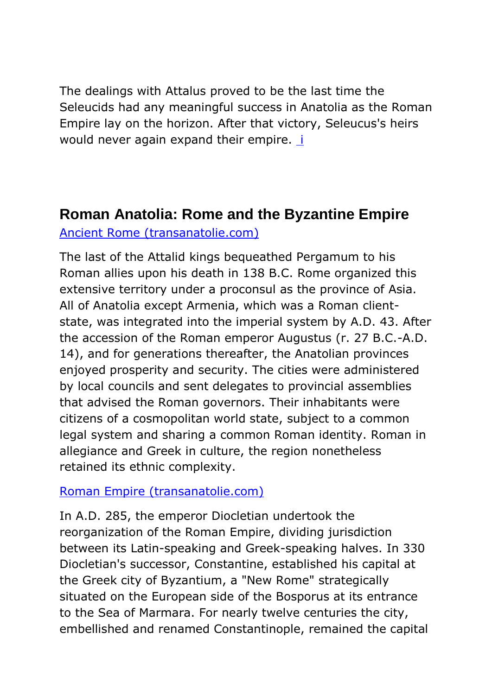The dealings with Attalus proved to be the last time the Seleucids had any meaningful success in Anatolia as the Roman Empire lay on the horizon. After that victory, Seleucus's heirs would never again expand their empire. [i](#page-0-0)

# <span id="page-17-0"></span>**Roman Anatolia: Rome and the Byzantine Empire**

[Ancient Rome \(transanatolie.com\)](https://transanatolie.com/English/Turkey/Anatolia/ancient-rome.htm)

The last of the Attalid kings bequeathed Pergamum to his Roman allies upon his death in 138 B.C. Rome organized this extensive territory under a proconsul as the province of Asia. All of Anatolia except Armenia, which was a Roman clientstate, was integrated into the imperial system by A.D. 43. After the accession of the Roman emperor Augustus (r. 27 B.C.-A.D. 14), and for generations thereafter, the Anatolian provinces enjoyed prosperity and security. The cities were administered by local councils and sent delegates to provincial assemblies that advised the Roman governors. Their inhabitants were citizens of a cosmopolitan world state, subject to a common legal system and sharing a common Roman identity. Roman in allegiance and Greek in culture, the region nonetheless retained its ethnic complexity.

#### [Roman Empire \(transanatolie.com\)](https://transanatolie.com/English/Turkey/Anatolia/romans.htm)

In A.D. 285, the emperor Diocletian undertook the reorganization of the Roman Empire, dividing jurisdiction between its Latin-speaking and Greek-speaking halves. In 330 Diocletian's successor, Constantine, established his capital at the Greek city of Byzantium, a "New Rome" strategically situated on the European side of the Bosporus at its entrance to the Sea of Marmara. For nearly twelve centuries the city, embellished and renamed Constantinople, remained the capital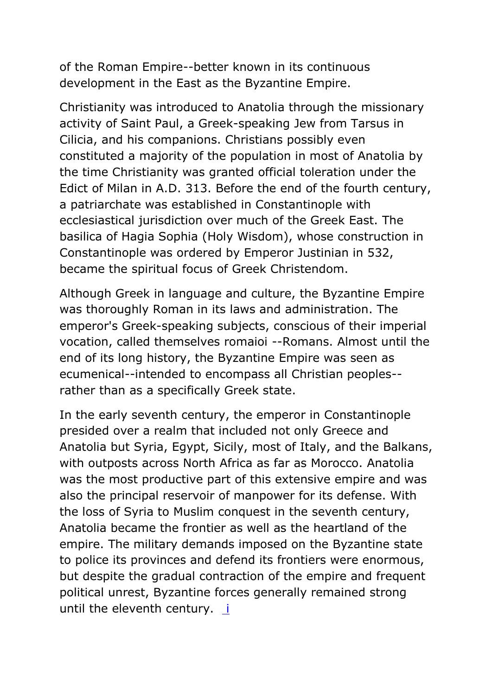of the Roman Empire--better known in its continuous development in the East as the Byzantine Empire.

Christianity was introduced to Anatolia through the missionary activity of Saint Paul, a Greek-speaking Jew from Tarsus in Cilicia, and his companions. Christians possibly even constituted a majority of the population in most of Anatolia by the time Christianity was granted official toleration under the Edict of Milan in A.D. 313. Before the end of the fourth century, a patriarchate was established in Constantinople with ecclesiastical jurisdiction over much of the Greek East. The basilica of Hagia Sophia (Holy Wisdom), whose construction in Constantinople was ordered by Emperor Justinian in 532, became the spiritual focus of Greek Christendom.

Although Greek in language and culture, the Byzantine Empire was thoroughly Roman in its laws and administration. The emperor's Greek-speaking subjects, conscious of their imperial vocation, called themselves romaioi --Romans. Almost until the end of its long history, the Byzantine Empire was seen as ecumenical--intended to encompass all Christian peoples- rather than as a specifically Greek state.

In the early seventh century, the emperor in Constantinople presided over a realm that included not only Greece and Anatolia but Syria, Egypt, Sicily, most of Italy, and the Balkans, with outposts across North Africa as far as Morocco. Anatolia was the most productive part of this extensive empire and was also the principal reservoir of manpower for its defense. With the loss of Syria to Muslim conquest in the seventh century, Anatolia became the frontier as well as the heartland of the empire. The military demands imposed on the Byzantine state to police its provinces and defend its frontiers were enormous, but despite the gradual contraction of the empire and frequent political unrest, Byzantine forces generally remained strong until the eleventh century. [i](#page-0-0)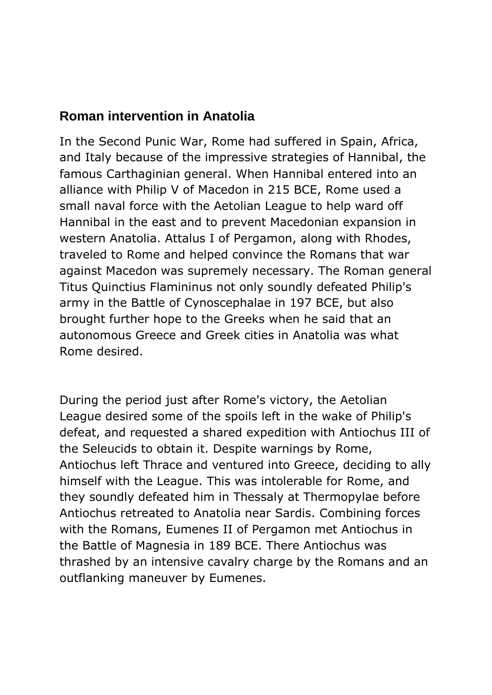#### <span id="page-19-0"></span>**Roman intervention in Anatolia**

In the Second Punic War, Rome had suffered in Spain, Africa, and Italy because of the impressive strategies of Hannibal, the famous Carthaginian general. When Hannibal entered into an alliance with Philip V of Macedon in 215 BCE, Rome used a small naval force with the Aetolian League to help ward off Hannibal in the east and to prevent Macedonian expansion in western Anatolia. Attalus I of Pergamon, along with Rhodes, traveled to Rome and helped convince the Romans that war against Macedon was supremely necessary. The Roman general Titus Quinctius Flamininus not only soundly defeated Philip's army in the Battle of Cynoscephalae in 197 BCE, but also brought further hope to the Greeks when he said that an autonomous Greece and Greek cities in Anatolia was what Rome desired.

During the period just after Rome's victory, the Aetolian League desired some of the spoils left in the wake of Philip's defeat, and requested a shared expedition with Antiochus III of the Seleucids to obtain it. Despite warnings by Rome, Antiochus left Thrace and ventured into Greece, deciding to ally himself with the League. This was intolerable for Rome, and they soundly defeated him in Thessaly at Thermopylae before Antiochus retreated to Anatolia near Sardis. Combining forces with the Romans, Eumenes II of Pergamon met Antiochus in the Battle of Magnesia in 189 BCE. There Antiochus was thrashed by an intensive cavalry charge by the Romans and an outflanking maneuver by Eumenes.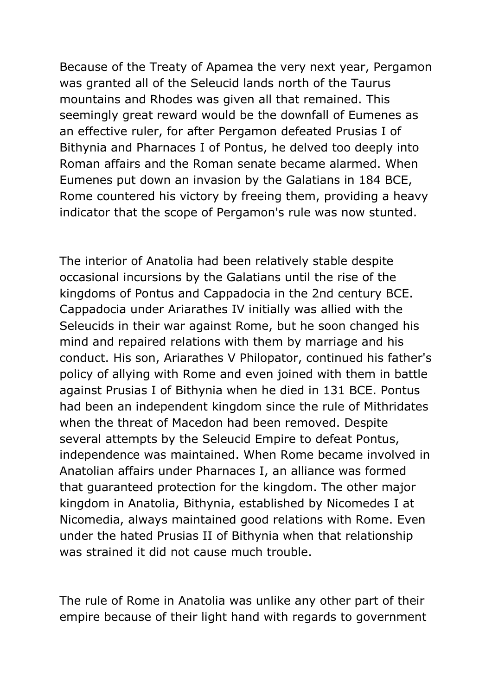Because of the Treaty of Apamea the very next year, Pergamon was granted all of the Seleucid lands north of the Taurus mountains and Rhodes was given all that remained. This seemingly great reward would be the downfall of Eumenes as an effective ruler, for after Pergamon defeated Prusias I of Bithynia and Pharnaces I of Pontus, he delved too deeply into Roman affairs and the Roman senate became alarmed. When Eumenes put down an invasion by the Galatians in 184 BCE, Rome countered his victory by freeing them, providing a heavy indicator that the scope of Pergamon's rule was now stunted.

The interior of Anatolia had been relatively stable despite occasional incursions by the Galatians until the rise of the kingdoms of Pontus and Cappadocia in the 2nd century BCE. Cappadocia under Ariarathes IV initially was allied with the Seleucids in their war against Rome, but he soon changed his mind and repaired relations with them by marriage and his conduct. His son, Ariarathes V Philopator, continued his father's policy of allying with Rome and even joined with them in battle against Prusias I of Bithynia when he died in 131 BCE. Pontus had been an independent kingdom since the rule of Mithridates when the threat of Macedon had been removed. Despite several attempts by the Seleucid Empire to defeat Pontus, independence was maintained. When Rome became involved in Anatolian affairs under Pharnaces I, an alliance was formed that guaranteed protection for the kingdom. The other major kingdom in Anatolia, Bithynia, established by Nicomedes I at Nicomedia, always maintained good relations with Rome. Even under the hated Prusias II of Bithynia when that relationship was strained it did not cause much trouble.

The rule of Rome in Anatolia was unlike any other part of their empire because of their light hand with regards to government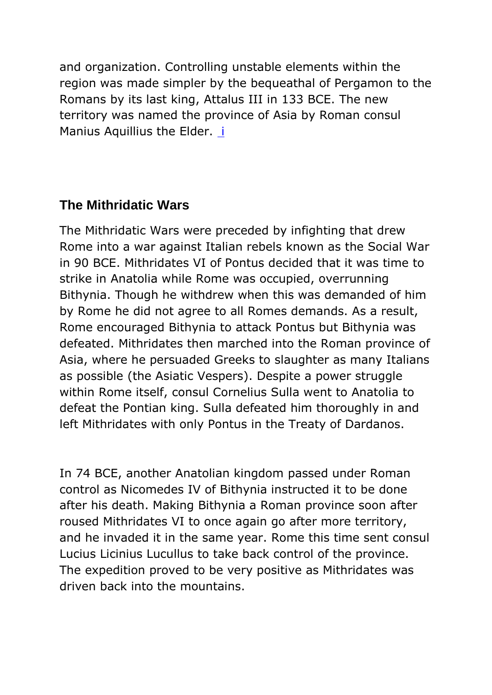and organization. Controlling unstable elements within the region was made simpler by the bequeathal of Pergamon to the Romans by its last king, Attalus III in 133 BCE. The new territory was named the province of Asia by Roman consul Manius Aquillius the Elder. [i](#page-0-0)

#### <span id="page-21-0"></span>**The Mithridatic Wars**

The Mithridatic Wars were preceded by infighting that drew Rome into a war against Italian rebels known as the Social War in 90 BCE. Mithridates VI of Pontus decided that it was time to strike in Anatolia while Rome was occupied, overrunning Bithynia. Though he withdrew when this was demanded of him by Rome he did not agree to all Romes demands. As a result, Rome encouraged Bithynia to attack Pontus but Bithynia was defeated. Mithridates then marched into the Roman province of Asia, where he persuaded Greeks to slaughter as many Italians as possible (the Asiatic Vespers). Despite a power struggle within Rome itself, consul Cornelius Sulla went to Anatolia to defeat the Pontian king. Sulla defeated him thoroughly in and left Mithridates with only Pontus in the Treaty of Dardanos.

In 74 BCE, another Anatolian kingdom passed under Roman control as Nicomedes IV of Bithynia instructed it to be done after his death. Making Bithynia a Roman province soon after roused Mithridates VI to once again go after more territory, and he invaded it in the same year. Rome this time sent consul Lucius Licinius Lucullus to take back control of the province. The expedition proved to be very positive as Mithridates was driven back into the mountains.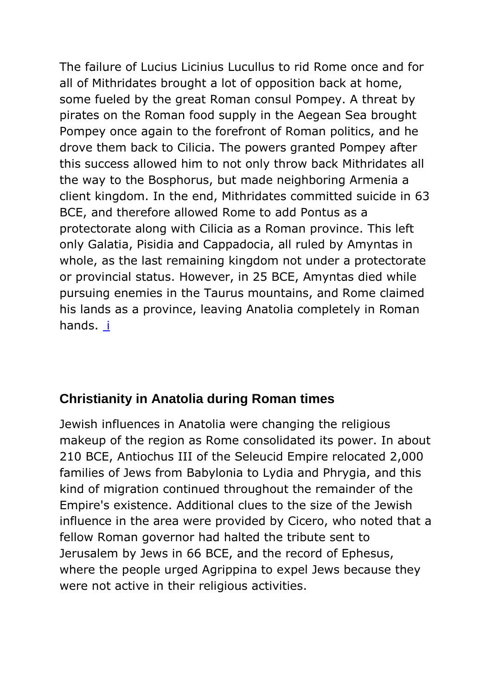The failure of Lucius Licinius Lucullus to rid Rome once and for all of Mithridates brought a lot of opposition back at home, some fueled by the great Roman consul Pompey. A threat by pirates on the Roman food supply in the Aegean Sea brought Pompey once again to the forefront of Roman politics, and he drove them back to Cilicia. The powers granted Pompey after this success allowed him to not only throw back Mithridates all the way to the Bosphorus, but made neighboring Armenia a client kingdom. In the end, Mithridates committed suicide in 63 BCE, and therefore allowed Rome to add Pontus as a protectorate along with Cilicia as a Roman province. This left only Galatia, Pisidia and Cappadocia, all ruled by Amyntas in whole, as the last remaining kingdom not under a protectorate or provincial status. However, in 25 BCE, Amyntas died while pursuing enemies in the Taurus mountains, and Rome claimed his lands as a province, leaving Anatolia completely in Roman hands. [i](#page-0-0)

#### <span id="page-22-0"></span>**Christianity in Anatolia during Roman times**

Jewish influences in Anatolia were changing the religious makeup of the region as Rome consolidated its power. In about 210 BCE, Antiochus III of the Seleucid Empire relocated 2,000 families of Jews from Babylonia to Lydia and Phrygia, and this kind of migration continued throughout the remainder of the Empire's existence. Additional clues to the size of the Jewish influence in the area were provided by Cicero, who noted that a fellow Roman governor had halted the tribute sent to Jerusalem by Jews in 66 BCE, and the record of Ephesus, where the people urged Agrippina to expel Jews because they were not active in their religious activities.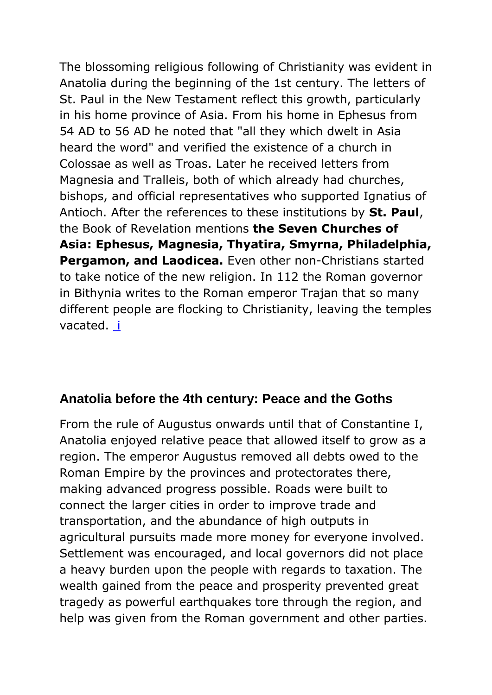The blossoming religious following of Christianity was evident in Anatolia during the beginning of the 1st century. The letters of St. Paul in the New Testament reflect this growth, particularly in his home province of Asia. From his home in Ephesus from 54 AD to 56 AD he noted that "all they which dwelt in Asia heard the word" and verified the existence of a church in Colossae as well as Troas. Later he received letters from Magnesia and Tralleis, both of which already had churches, bishops, and official representatives who supported Ignatius of Antioch. After the references to these institutions by **St. Paul**, the Book of Revelation mentions **the Seven Churches of Asia: Ephesus, Magnesia, Thyatira, Smyrna, Philadelphia, Pergamon, and Laodicea.** Even other non-Christians started to take notice of the new religion. In 112 the Roman governor in Bithynia writes to the Roman emperor Trajan that so many different people are flocking to Christianity, leaving the temples vacated. [i](#page-0-0)

#### <span id="page-23-0"></span>**Anatolia before the 4th century: Peace and the Goths**

From the rule of Augustus onwards until that of Constantine I, Anatolia enjoyed relative peace that allowed itself to grow as a region. The emperor Augustus removed all debts owed to the Roman Empire by the provinces and protectorates there, making advanced progress possible. Roads were built to connect the larger cities in order to improve trade and transportation, and the abundance of high outputs in agricultural pursuits made more money for everyone involved. Settlement was encouraged, and local governors did not place a heavy burden upon the people with regards to taxation. The wealth gained from the peace and prosperity prevented great tragedy as powerful earthquakes tore through the region, and help was given from the Roman government and other parties.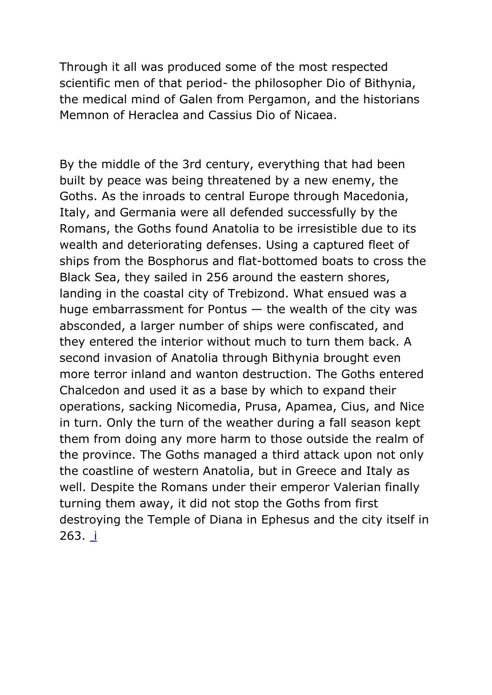Through it all was produced some of the most respected scientific men of that period- the philosopher Dio of Bithynia, the medical mind of Galen from Pergamon, and the historians Memnon of Heraclea and Cassius Dio of Nicaea.

By the middle of the 3rd century, everything that had been built by peace was being threatened by a new enemy, the Goths. As the inroads to central Europe through Macedonia, Italy, and Germania were all defended successfully by the Romans, the Goths found Anatolia to be irresistible due to its wealth and deteriorating defenses. Using a captured fleet of ships from the Bosphorus and flat-bottomed boats to cross the Black Sea, they sailed in 256 around the eastern shores, landing in the coastal city of Trebizond. What ensued was a huge embarrassment for Pontus  $-$  the wealth of the city was absconded, a larger number of ships were confiscated, and they entered the interior without much to turn them back. A second invasion of Anatolia through Bithynia brought even more terror inland and wanton destruction. The Goths entered Chalcedon and used it as a base by which to expand their operations, sacking Nicomedia, Prusa, Apamea, Cius, and Nice in turn. Only the turn of the weather during a fall season kept them from doing any more harm to those outside the realm of the province. The Goths managed a third attack upon not only the coastline of western Anatolia, but in Greece and Italy as well. Despite the Romans under their emperor Valerian finally turning them away, it did not stop the Goths from first destroying the Temple of Diana in Ephesus and the city itself in 263. [i](#page-0-0)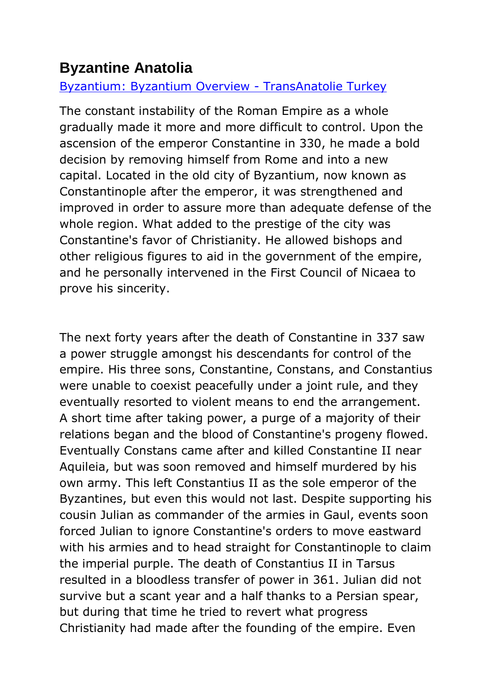# <span id="page-25-0"></span>**Byzantine Anatolia**

[Byzantium: Byzantium Overview -](https://transanatolie.com/English/Turkey/Anatolia/Byzantium/byzantium.htm) TransAnatolie Turkey

The constant instability of the Roman Empire as a whole gradually made it more and more difficult to control. Upon the ascension of the emperor Constantine in 330, he made a bold decision by removing himself from Rome and into a new capital. Located in the old city of Byzantium, now known as Constantinople after the emperor, it was strengthened and improved in order to assure more than adequate defense of the whole region. What added to the prestige of the city was Constantine's favor of Christianity. He allowed bishops and other religious figures to aid in the government of the empire, and he personally intervened in the First Council of Nicaea to prove his sincerity.

The next forty years after the death of Constantine in 337 saw a power struggle amongst his descendants for control of the empire. His three sons, Constantine, Constans, and Constantius were unable to coexist peacefully under a joint rule, and they eventually resorted to violent means to end the arrangement. A short time after taking power, a purge of a majority of their relations began and the blood of Constantine's progeny flowed. Eventually Constans came after and killed Constantine II near Aquileia, but was soon removed and himself murdered by his own army. This left Constantius II as the sole emperor of the Byzantines, but even this would not last. Despite supporting his cousin Julian as commander of the armies in Gaul, events soon forced Julian to ignore Constantine's orders to move eastward with his armies and to head straight for Constantinople to claim the imperial purple. The death of Constantius II in Tarsus resulted in a bloodless transfer of power in 361. Julian did not survive but a scant year and a half thanks to a Persian spear, but during that time he tried to revert what progress Christianity had made after the founding of the empire. Even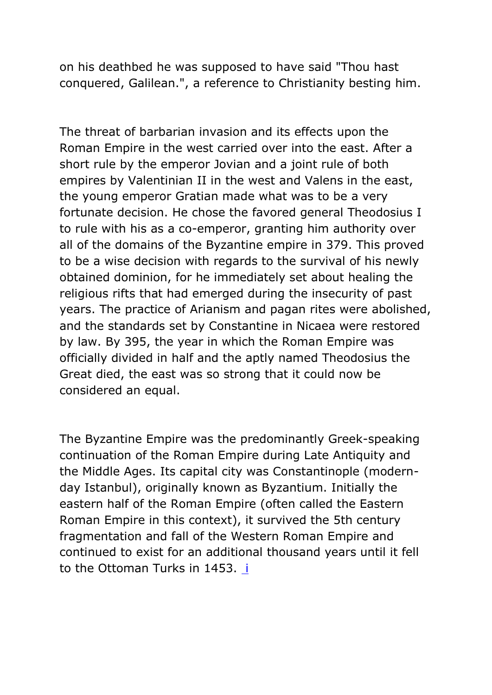on his deathbed he was supposed to have said "Thou hast conquered, Galilean.", a reference to Christianity besting him.

The threat of barbarian invasion and its effects upon the Roman Empire in the west carried over into the east. After a short rule by the emperor Jovian and a joint rule of both empires by Valentinian II in the west and Valens in the east, the young emperor Gratian made what was to be a very fortunate decision. He chose the favored general Theodosius I to rule with his as a co-emperor, granting him authority over all of the domains of the Byzantine empire in 379. This proved to be a wise decision with regards to the survival of his newly obtained dominion, for he immediately set about healing the religious rifts that had emerged during the insecurity of past years. The practice of Arianism and pagan rites were abolished, and the standards set by Constantine in Nicaea were restored by law. By 395, the year in which the Roman Empire was officially divided in half and the aptly named Theodosius the Great died, the east was so strong that it could now be considered an equal.

The Byzantine Empire was the predominantly Greek-speaking continuation of the Roman Empire during Late Antiquity and the Middle Ages. Its capital city was Constantinople (modernday Istanbul), originally known as Byzantium. Initially the eastern half of the Roman Empire (often called the Eastern Roman Empire in this context), it survived the 5th century fragmentation and fall of the Western Roman Empire and continued to exist for an additional thousand years until it fell to the Ottoman Turks [i](#page-0-0)n 1453.  $\frac{1}{1}$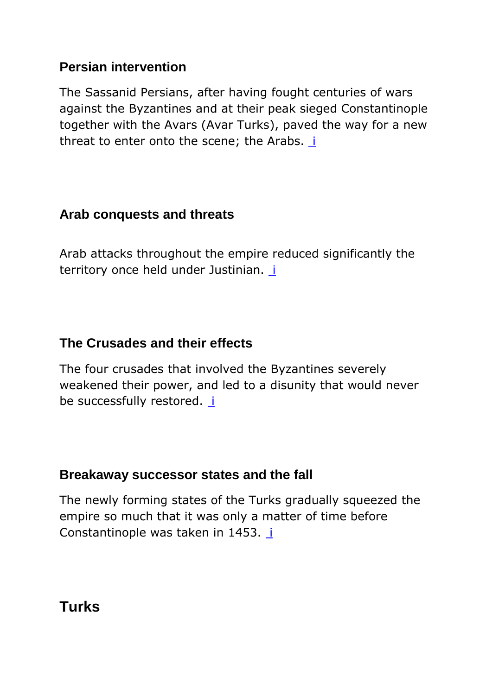#### <span id="page-27-0"></span>**Persian intervention**

The Sassanid Persians, after having fought centuries of wars against the Byzantines and at their peak sieged Constantinople together with the Avars (Avar Turks), paved the way for a new threat to enter onto the scene; the Arabs.  $\overline{\mathbf{i}}$  $\overline{\mathbf{i}}$  $\overline{\mathbf{i}}$ 

#### <span id="page-27-1"></span>**Arab conquests and threats**

Arab attacks throughout the empire reduced significantly the territory once held under Justinian. [i](#page-0-0)

### <span id="page-27-2"></span>**The Crusades and their effects**

The four crusades that involved the Byzantines severely weakened their power, and led to a disunity that would never be successfully restored. [i](#page-0-0)

#### <span id="page-27-3"></span>**Breakaway successor states and the fall**

The newly forming states of the Turks gradually squeezed the empire so much that it was only a matter of time before Constantinople was taken in 1453. [i](#page-0-0)

<span id="page-27-4"></span>**Turks**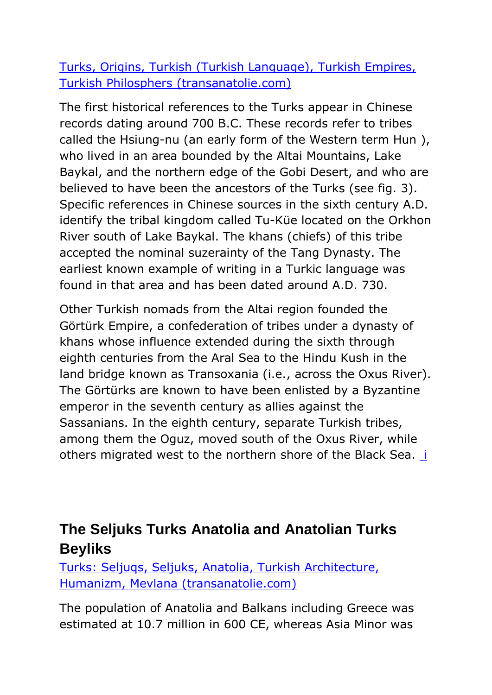[Turks, Origins, Turkish \(Turkish Language\), Turkish Empires,](https://transanatolie.com/English/Turkey/Turks/turks.htm)  [Turkish Philosphers \(transanatolie.com\)](https://transanatolie.com/English/Turkey/Turks/turks.htm)

The first historical references to the Turks appear in Chinese records dating around 700 B.C. These records refer to tribes called the Hsiung-nu (an early form of the Western term Hun ), who lived in an area bounded by the Altai Mountains, Lake Baykal, and the northern edge of the Gobi Desert, and who are believed to have been the ancestors of the Turks (see fig. 3). Specific references in Chinese sources in the sixth century A.D. identify the tribal kingdom called Tu-Küe located on the Orkhon River south of Lake Baykal. The khans (chiefs) of this tribe accepted the nominal suzerainty of the Tang Dynasty. The earliest known example of writing in a Turkic language was found in that area and has been dated around A.D. 730.

Other Turkish nomads from the Altai region founded the Görtürk Empire, a confederation of tribes under a dynasty of khans whose influence extended during the sixth through eighth centuries from the Aral Sea to the Hindu Kush in the land bridge known as Transoxania (i.e., across the Oxus River). The Görtürks are known to have been enlisted by a Byzantine emperor in the seventh century as allies against the Sassanians. In the eighth century, separate Turkish tribes, among them the Oguz, moved south of the Oxus River, while others m[i](#page-0-0)grated west to the northern shore of the Black Sea. i

# <span id="page-28-0"></span>**The Seljuks Turks Anatolia and Anatolian Turks Beyliks**

Turks: [Seljuqs, Seljuks, Anatolia, Turkish Architecture,](https://transanatolie.com/English/Turkey/Turks/Selcuks/seljuks.htm)  [Humanizm, Mevlana \(transanatolie.com\)](https://transanatolie.com/English/Turkey/Turks/Selcuks/seljuks.htm)

The population of Anatolia and Balkans including Greece was estimated at 10.7 million in 600 CE, whereas Asia Minor was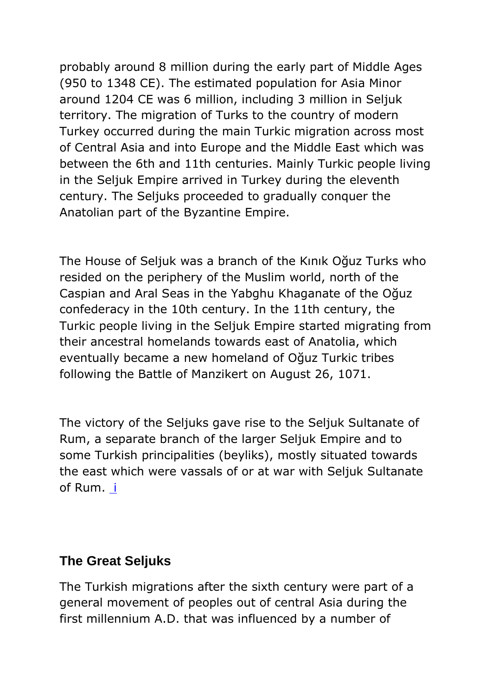probably around 8 million during the early part of Middle Ages (950 to 1348 CE). The estimated population for Asia Minor around 1204 CE was 6 million, including 3 million in Seljuk territory. The migration of Turks to the country of modern Turkey occurred during the main Turkic migration across most of Central Asia and into Europe and the Middle East which was between the 6th and 11th centuries. Mainly Turkic people living in the Seljuk Empire arrived in Turkey during the eleventh century. The Seljuks proceeded to gradually conquer the Anatolian part of the Byzantine Empire.

The House of Seljuk was a branch of the Kınık Oğuz Turks who resided on the periphery of the Muslim world, north of the Caspian and Aral Seas in the Yabghu Khaganate of the Oğuz confederacy in the 10th century. In the 11th century, the Turkic people living in the Seljuk Empire started migrating from their ancestral homelands towards east of Anatolia, which eventually became a new homeland of Oğuz Turkic tribes following the Battle of Manzikert on August 26, 1071.

The victory of the Seljuks gave rise to the Seljuk Sultanate of Rum, a separate branch of the larger Seljuk Empire and to some Turkish principalities (beyliks), mostly situated towards the east which were vassals of or at war with Seljuk Sultanate of Rum. [i](#page-0-0)

#### <span id="page-29-0"></span>**The Great Seljuks**

The Turkish migrations after the sixth century were part of a general movement of peoples out of central Asia during the first millennium A.D. that was influenced by a number of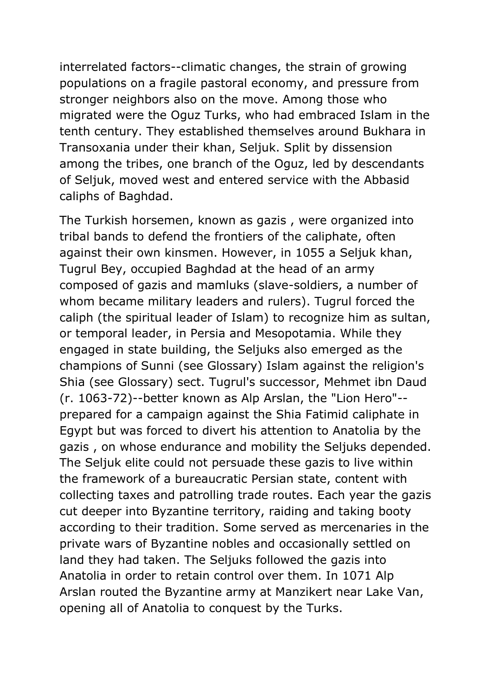interrelated factors--climatic changes, the strain of growing populations on a fragile pastoral economy, and pressure from stronger neighbors also on the move. Among those who migrated were the Oguz Turks, who had embraced Islam in the tenth century. They established themselves around Bukhara in Transoxania under their khan, Seljuk. Split by dissension among the tribes, one branch of the Oguz, led by descendants of Seljuk, moved west and entered service with the Abbasid caliphs of Baghdad.

The Turkish horsemen, known as gazis , were organized into tribal bands to defend the frontiers of the caliphate, often against their own kinsmen. However, in 1055 a Seljuk khan, Tugrul Bey, occupied Baghdad at the head of an army composed of gazis and mamluks (slave-soldiers, a number of whom became military leaders and rulers). Tugrul forced the caliph (the spiritual leader of Islam) to recognize him as sultan, or temporal leader, in Persia and Mesopotamia. While they engaged in state building, the Seljuks also emerged as the champions of Sunni (see Glossary) Islam against the religion's Shia (see Glossary) sect. Tugrul's successor, Mehmet ibn Daud (r. 1063-72)--better known as Alp Arslan, the "Lion Hero"- prepared for a campaign against the Shia Fatimid caliphate in Egypt but was forced to divert his attention to Anatolia by the gazis , on whose endurance and mobility the Seljuks depended. The Seljuk elite could not persuade these gazis to live within the framework of a bureaucratic Persian state, content with collecting taxes and patrolling trade routes. Each year the gazis cut deeper into Byzantine territory, raiding and taking booty according to their tradition. Some served as mercenaries in the private wars of Byzantine nobles and occasionally settled on land they had taken. The Seljuks followed the gazis into Anatolia in order to retain control over them. In 1071 Alp Arslan routed the Byzantine army at Manzikert near Lake Van, opening all of Anatolia to conquest by the Turks.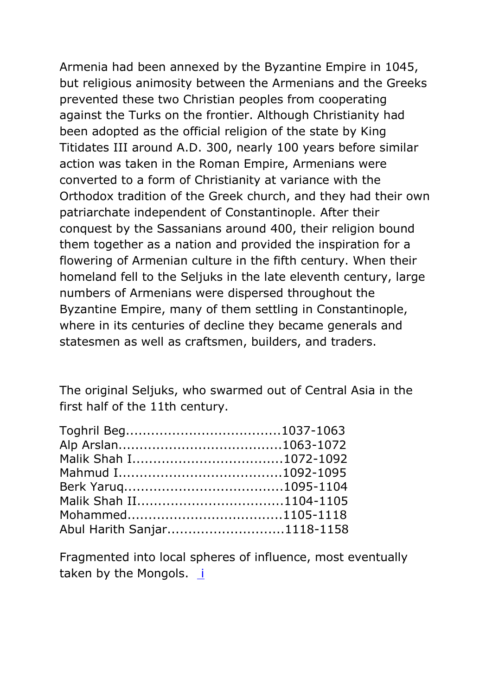Armenia had been annexed by the Byzantine Empire in 1045, but religious animosity between the Armenians and the Greeks prevented these two Christian peoples from cooperating against the Turks on the frontier. Although Christianity had been adopted as the official religion of the state by King Titidates III around A.D. 300, nearly 100 years before similar action was taken in the Roman Empire, Armenians were converted to a form of Christianity at variance with the Orthodox tradition of the Greek church, and they had their own patriarchate independent of Constantinople. After their conquest by the Sassanians around 400, their religion bound them together as a nation and provided the inspiration for a flowering of Armenian culture in the fifth century. When their homeland fell to the Seljuks in the late eleventh century, large numbers of Armenians were dispersed throughout the Byzantine Empire, many of them settling in Constantinople, where in its centuries of decline they became generals and statesmen as well as craftsmen, builders, and traders.

The original Seljuks, who swarmed out of Central Asia in the first half of the 11th century.

| Abul Harith Sanjar1118-1158 |  |
|-----------------------------|--|

Fragmented into local spheres of influence, most eventually taken by the Mongols. [i](#page-0-0)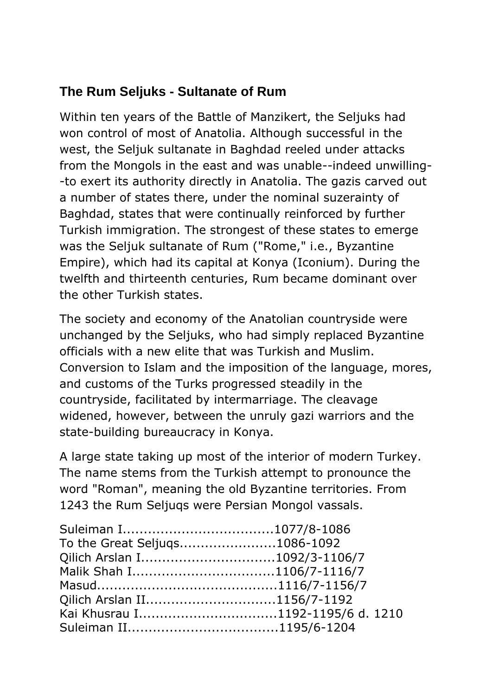# <span id="page-32-0"></span>**The Rum Seljuks - Sultanate of Rum**

Within ten years of the Battle of Manzikert, the Seljuks had won control of most of Anatolia. Although successful in the west, the Seljuk sultanate in Baghdad reeled under attacks from the Mongols in the east and was unable--indeed unwilling- -to exert its authority directly in Anatolia. The gazis carved out a number of states there, under the nominal suzerainty of Baghdad, states that were continually reinforced by further Turkish immigration. The strongest of these states to emerge was the Seljuk sultanate of Rum ("Rome," i.e., Byzantine Empire), which had its capital at Konya (Iconium). During the twelfth and thirteenth centuries, Rum became dominant over the other Turkish states.

The society and economy of the Anatolian countryside were unchanged by the Seljuks, who had simply replaced Byzantine officials with a new elite that was Turkish and Muslim. Conversion to Islam and the imposition of the language, mores, and customs of the Turks progressed steadily in the countryside, facilitated by intermarriage. The cleavage widened, however, between the unruly gazi warriors and the state-building bureaucracy in Konya.

A large state taking up most of the interior of modern Turkey. The name stems from the Turkish attempt to pronounce the word "Roman", meaning the old Byzantine territories. From 1243 the Rum Seljuqs were Persian Mongol vassals.

| To the Great Seljugs1086-1092    |  |
|----------------------------------|--|
|                                  |  |
|                                  |  |
|                                  |  |
| Qilich Arslan II1156/7-1192      |  |
| Kai Khusrau I1192-1195/6 d. 1210 |  |
|                                  |  |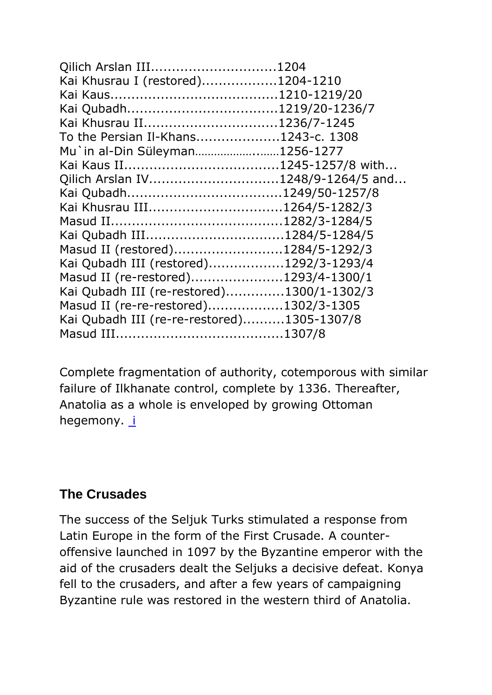| Kai Khusrau I (restored)1204-1210          |  |
|--------------------------------------------|--|
|                                            |  |
|                                            |  |
| Kai Khusrau II1236/7-1245                  |  |
| To the Persian Il-Khans1243-c. 1308        |  |
| Mu`in al-Din Süleyman1256-1277             |  |
|                                            |  |
| Qilich Arslan IV1248/9-1264/5 and          |  |
|                                            |  |
| Kai Khusrau III1264/5-1282/3               |  |
|                                            |  |
| Kai Qubadh III1284/5-1284/5                |  |
| Masud II (restored)1284/5-1292/3           |  |
| Kai Qubadh III (restored)1292/3-1293/4     |  |
| Masud II (re-restored)1293/4-1300/1        |  |
| Kai Qubadh III (re-restored)1300/1-1302/3  |  |
| Masud II (re-re-restored)1302/3-1305       |  |
| Kai Qubadh III (re-re-restored)1305-1307/8 |  |
|                                            |  |

Complete fragmentation of authority, cotemporous with similar failure of Ilkhanate control, complete by 1336. Thereafter, Anatolia as a whole is enveloped by growing Ottoman hegemony. [i](#page-0-0)

#### <span id="page-33-0"></span>**The Crusades**

The success of the Seljuk Turks stimulated a response from Latin Europe in the form of the First Crusade. A counteroffensive launched in 1097 by the Byzantine emperor with the aid of the crusaders dealt the Seljuks a decisive defeat. Konya fell to the crusaders, and after a few years of campaigning Byzantine rule was restored in the western third of Anatolia.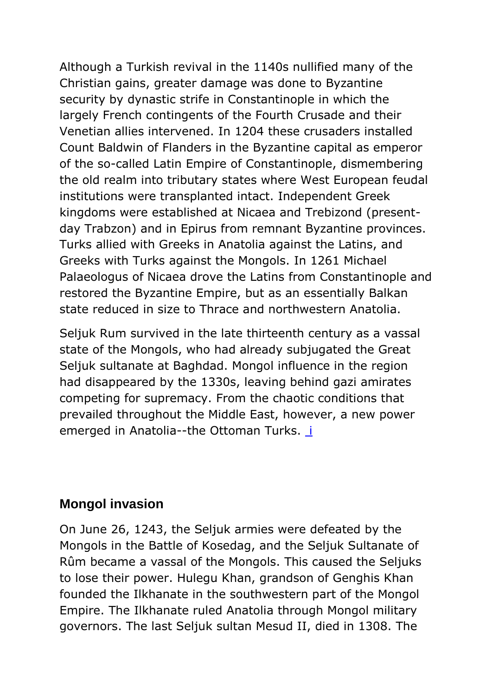Although a Turkish revival in the 1140s nullified many of the Christian gains, greater damage was done to Byzantine security by dynastic strife in Constantinople in which the largely French contingents of the Fourth Crusade and their Venetian allies intervened. In 1204 these crusaders installed Count Baldwin of Flanders in the Byzantine capital as emperor of the so-called Latin Empire of Constantinople, dismembering the old realm into tributary states where West European feudal institutions were transplanted intact. Independent Greek kingdoms were established at Nicaea and Trebizond (presentday Trabzon) and in Epirus from remnant Byzantine provinces. Turks allied with Greeks in Anatolia against the Latins, and Greeks with Turks against the Mongols. In 1261 Michael Palaeologus of Nicaea drove the Latins from Constantinople and restored the Byzantine Empire, but as an essentially Balkan state reduced in size to Thrace and northwestern Anatolia.

Seljuk Rum survived in the late thirteenth century as a vassal state of the Mongols, who had already subjugated the Great Seljuk sultanate at Baghdad. Mongol influence in the region had disappeared by the 1330s, leaving behind gazi amirates competing for supremacy. From the chaotic conditions that prevailed throughout the Middle East, however, a new power emerged in Anatolia--the Ottoman Turks. [i](#page-0-0)

#### <span id="page-34-0"></span>**Mongol invasion**

On June 26, 1243, the Seljuk armies were defeated by the Mongols in the Battle of Kosedag, and the Seljuk Sultanate of Rûm became a vassal of the Mongols. This caused the Seljuks to lose their power. Hulegu Khan, grandson of Genghis Khan founded the Ilkhanate in the southwestern part of the Mongol Empire. The Ilkhanate ruled Anatolia through Mongol military governors. The last Seljuk sultan Mesud II, died in 1308. The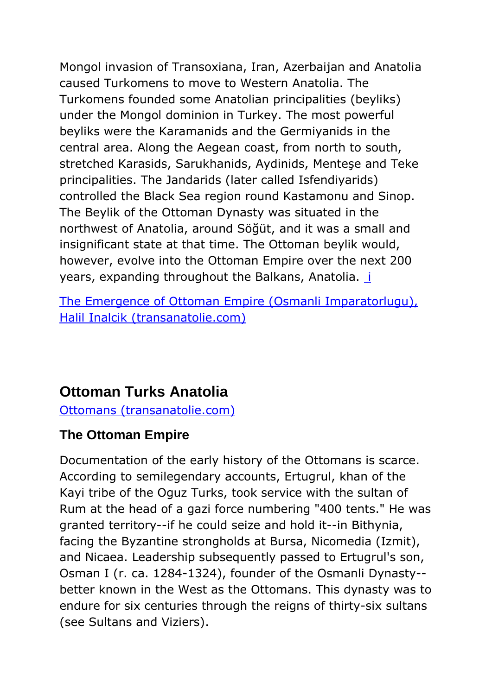Mongol invasion of Transoxiana, Iran, Azerbaijan and Anatolia caused Turkomens to move to Western Anatolia. The Turkomens founded some Anatolian principalities (beyliks) under the Mongol dominion in Turkey. The most powerful beyliks were the Karamanids and the Germiyanids in the central area. Along the Aegean coast, from north to south, stretched Karasids, Sarukhanids, Aydinids, Menteşe and Teke principalities. The Jandarids (later called Isfendiyarids) controlled the Black Sea region round Kastamonu and Sinop. The Beylik of the Ottoman Dynasty was situated in the northwest of Anatolia, around Söğüt, and it was a small and insignificant state at that time. The Ottoman beylik would, however, evolve into the Ottoman Empire over the next 200 years, expand[i](#page-0-0)ng throughout the Balkans, Anatolia. i

[The Emergence of Ottoman Empire \(Osmanli Imparatorlugu\),](https://transanatolie.com/English/Turkey/Turks/emergence_of_ottomans.htm)  [Halil Inalcik \(transanatolie.com\)](https://transanatolie.com/English/Turkey/Turks/emergence_of_ottomans.htm)

# <span id="page-35-0"></span>**Ottoman Turks Anatolia**

[Ottomans \(transanatolie.com\)](https://transanatolie.com/English/Turkey/Turks/Ottomans/ottomanempire.htm)

# <span id="page-35-1"></span>**The Ottoman Empire**

Documentation of the early history of the Ottomans is scarce. According to semilegendary accounts, Ertugrul, khan of the Kayi tribe of the Oguz Turks, took service with the sultan of Rum at the head of a gazi force numbering "400 tents." He was granted territory--if he could seize and hold it--in Bithynia, facing the Byzantine strongholds at Bursa, Nicomedia (Izmit), and Nicaea. Leadership subsequently passed to Ertugrul's son, Osman I (r. ca. 1284-1324), founder of the Osmanli Dynasty- better known in the West as the Ottomans. This dynasty was to endure for six centuries through the reigns of thirty-six sultans (see Sultans and Viziers).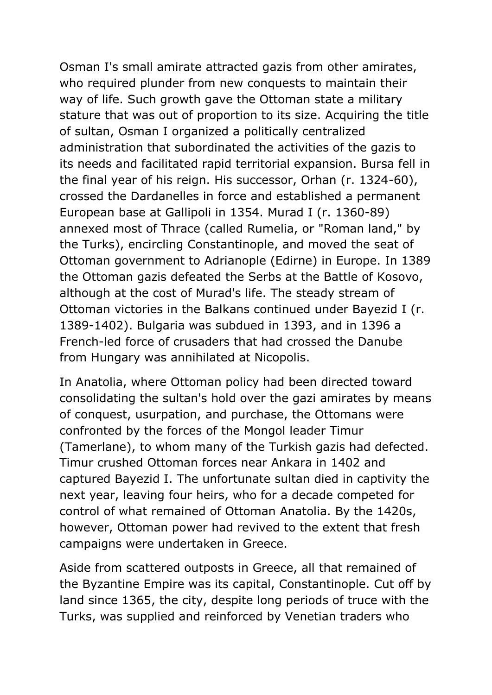Osman I's small amirate attracted gazis from other amirates, who required plunder from new conquests to maintain their way of life. Such growth gave the Ottoman state a military stature that was out of proportion to its size. Acquiring the title of sultan, Osman I organized a politically centralized administration that subordinated the activities of the gazis to its needs and facilitated rapid territorial expansion. Bursa fell in the final year of his reign. His successor, Orhan (r. 1324-60), crossed the Dardanelles in force and established a permanent European base at Gallipoli in 1354. Murad I (r. 1360-89) annexed most of Thrace (called Rumelia, or "Roman land," by the Turks), encircling Constantinople, and moved the seat of Ottoman government to Adrianople (Edirne) in Europe. In 1389 the Ottoman gazis defeated the Serbs at the Battle of Kosovo, although at the cost of Murad's life. The steady stream of Ottoman victories in the Balkans continued under Bayezid I (r. 1389-1402). Bulgaria was subdued in 1393, and in 1396 a French-led force of crusaders that had crossed the Danube from Hungary was annihilated at Nicopolis.

In Anatolia, where Ottoman policy had been directed toward consolidating the sultan's hold over the gazi amirates by means of conquest, usurpation, and purchase, the Ottomans were confronted by the forces of the Mongol leader Timur (Tamerlane), to whom many of the Turkish gazis had defected. Timur crushed Ottoman forces near Ankara in 1402 and captured Bayezid I. The unfortunate sultan died in captivity the next year, leaving four heirs, who for a decade competed for control of what remained of Ottoman Anatolia. By the 1420s, however, Ottoman power had revived to the extent that fresh campaigns were undertaken in Greece.

Aside from scattered outposts in Greece, all that remained of the Byzantine Empire was its capital, Constantinople. Cut off by land since 1365, the city, despite long periods of truce with the Turks, was supplied and reinforced by Venetian traders who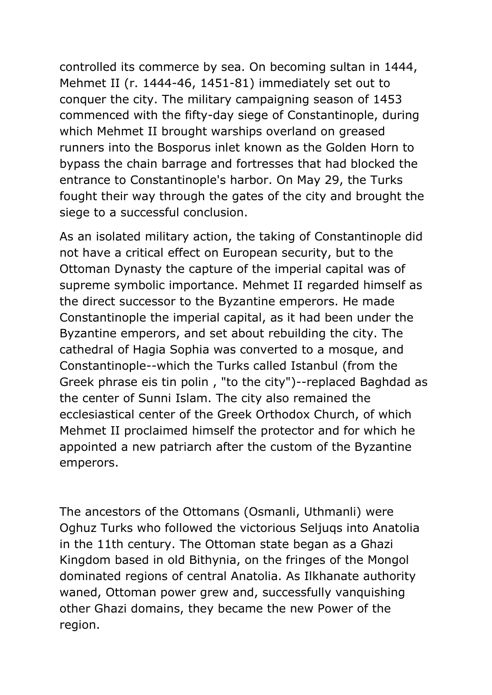controlled its commerce by sea. On becoming sultan in 1444, Mehmet II (r. 1444-46, 1451-81) immediately set out to conquer the city. The military campaigning season of 1453 commenced with the fifty-day siege of Constantinople, during which Mehmet II brought warships overland on greased runners into the Bosporus inlet known as the Golden Horn to bypass the chain barrage and fortresses that had blocked the entrance to Constantinople's harbor. On May 29, the Turks fought their way through the gates of the city and brought the siege to a successful conclusion.

As an isolated military action, the taking of Constantinople did not have a critical effect on European security, but to the Ottoman Dynasty the capture of the imperial capital was of supreme symbolic importance. Mehmet II regarded himself as the direct successor to the Byzantine emperors. He made Constantinople the imperial capital, as it had been under the Byzantine emperors, and set about rebuilding the city. The cathedral of Hagia Sophia was converted to a mosque, and Constantinople--which the Turks called Istanbul (from the Greek phrase eis tin polin , "to the city")--replaced Baghdad as the center of Sunni Islam. The city also remained the ecclesiastical center of the Greek Orthodox Church, of which Mehmet II proclaimed himself the protector and for which he appointed a new patriarch after the custom of the Byzantine emperors.

The ancestors of the Ottomans (Osmanli, Uthmanli) were Oghuz Turks who followed the victorious Seljuqs into Anatolia in the 11th century. The Ottoman state began as a Ghazi Kingdom based in old Bithynia, on the fringes of the Mongol dominated regions of central Anatolia. As Ilkhanate authority waned, Ottoman power grew and, successfully vanquishing other Ghazi domains, they became the new Power of the region.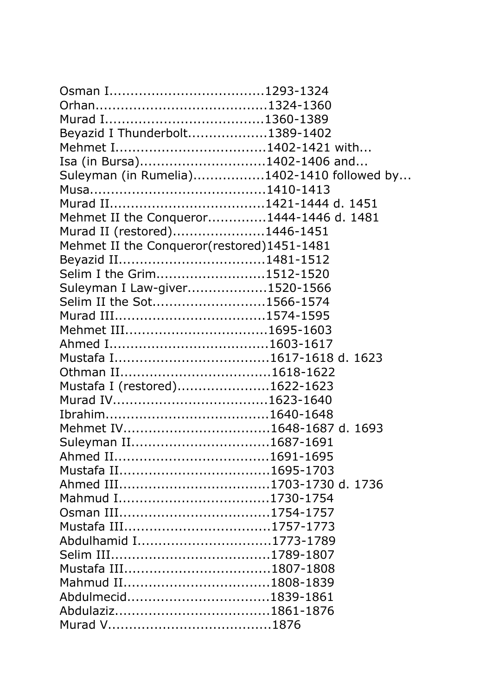| Beyazid I Thunderbolt1389-1402             |  |
|--------------------------------------------|--|
|                                            |  |
| Isa (in Bursa)1402-1406 and                |  |
| Suleyman (in Rumelia)1402-1410 followed by |  |
|                                            |  |
|                                            |  |
| Mehmet II the Conqueror1444-1446 d. 1481   |  |
| Murad II (restored)1446-1451               |  |
| Mehmet II the Conqueror(restored)1451-1481 |  |
|                                            |  |
| Selim I the Grim1512-1520                  |  |
| Suleyman I Law-giver1520-1566              |  |
| Selim II the Sot1566-1574                  |  |
|                                            |  |
|                                            |  |
|                                            |  |
|                                            |  |
|                                            |  |
| Mustafa I (restored)1622-1623              |  |
|                                            |  |
|                                            |  |
| Mehmet IV1648-1687 d. 1693                 |  |
| Suleyman II1687-1691                       |  |
|                                            |  |
|                                            |  |
|                                            |  |
|                                            |  |
|                                            |  |
|                                            |  |
| Abdulhamid I1773-1789                      |  |
|                                            |  |
|                                            |  |
|                                            |  |
| Abdulmecid1839-1861                        |  |
|                                            |  |
|                                            |  |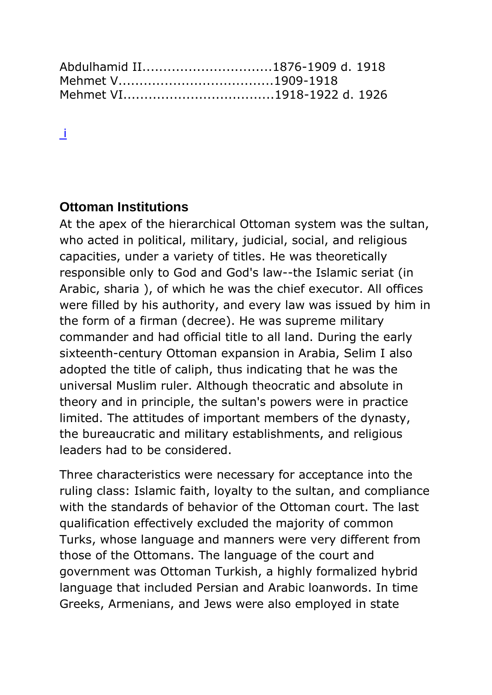| Abdulhamid II1876-1909 d. 1918 |  |
|--------------------------------|--|
|                                |  |
| Mehmet VI1918-1922 d. 1926     |  |

[i](#page-0-0)

#### <span id="page-39-0"></span>**Ottoman Institutions**

At the apex of the hierarchical Ottoman system was the sultan, who acted in political, military, judicial, social, and religious capacities, under a variety of titles. He was theoretically responsible only to God and God's law--the Islamic seriat (in Arabic, sharia ), of which he was the chief executor. All offices were filled by his authority, and every law was issued by him in the form of a firman (decree). He was supreme military commander and had official title to all land. During the early sixteenth-century Ottoman expansion in Arabia, Selim I also adopted the title of caliph, thus indicating that he was the universal Muslim ruler. Although theocratic and absolute in theory and in principle, the sultan's powers were in practice limited. The attitudes of important members of the dynasty, the bureaucratic and military establishments, and religious leaders had to be considered.

Three characteristics were necessary for acceptance into the ruling class: Islamic faith, loyalty to the sultan, and compliance with the standards of behavior of the Ottoman court. The last qualification effectively excluded the majority of common Turks, whose language and manners were very different from those of the Ottomans. The language of the court and government was Ottoman Turkish, a highly formalized hybrid language that included Persian and Arabic loanwords. In time Greeks, Armenians, and Jews were also employed in state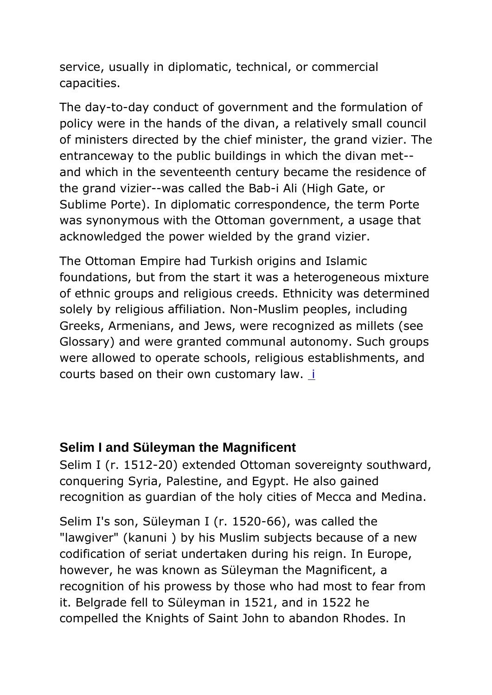service, usually in diplomatic, technical, or commercial capacities.

The day-to-day conduct of government and the formulation of policy were in the hands of the divan, a relatively small council of ministers directed by the chief minister, the grand vizier. The entranceway to the public buildings in which the divan met- and which in the seventeenth century became the residence of the grand vizier--was called the Bab-i Ali (High Gate, or Sublime Porte). In diplomatic correspondence, the term Porte was synonymous with the Ottoman government, a usage that acknowledged the power wielded by the grand vizier.

The Ottoman Empire had Turkish origins and Islamic foundations, but from the start it was a heterogeneous mixture of ethnic groups and religious creeds. Ethnicity was determined solely by religious affiliation. Non-Muslim peoples, including Greeks, Armenians, and Jews, were recognized as millets (see Glossary) and were granted communal autonomy. Such groups were allowed to operate schools, religious establishments, and courts based on their own customary law. [i](#page-0-0)

# <span id="page-40-0"></span>**Selim I and Süleyman the Magnificent**

Selim I (r. 1512-20) extended Ottoman sovereignty southward, conquering Syria, Palestine, and Egypt. He also gained recognition as guardian of the holy cities of Mecca and Medina.

Selim I's son, Süleyman I (r. 1520-66), was called the "lawgiver" (kanuni ) by his Muslim subjects because of a new codification of seriat undertaken during his reign. In Europe, however, he was known as Süleyman the Magnificent, a recognition of his prowess by those who had most to fear from it. Belgrade fell to Süleyman in 1521, and in 1522 he compelled the Knights of Saint John to abandon Rhodes. In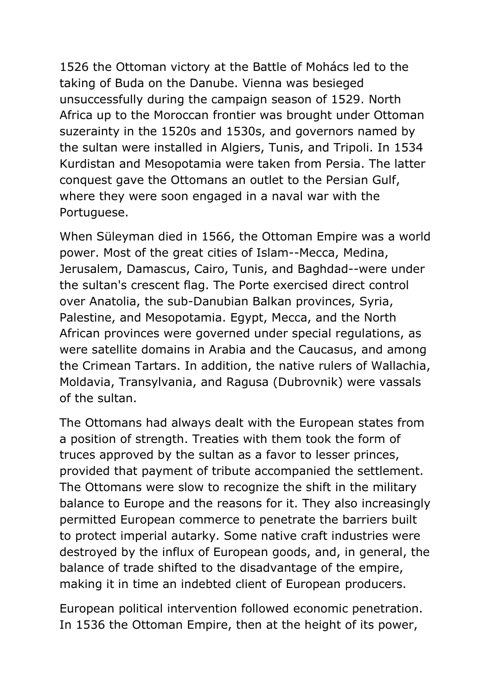1526 the Ottoman victory at the Battle of Mohács led to the taking of Buda on the Danube. Vienna was besieged unsuccessfully during the campaign season of 1529. North Africa up to the Moroccan frontier was brought under Ottoman suzerainty in the 1520s and 1530s, and governors named by the sultan were installed in Algiers, Tunis, and Tripoli. In 1534 Kurdistan and Mesopotamia were taken from Persia. The latter conquest gave the Ottomans an outlet to the Persian Gulf, where they were soon engaged in a naval war with the Portuguese.

When Süleyman died in 1566, the Ottoman Empire was a world power. Most of the great cities of Islam--Mecca, Medina, Jerusalem, Damascus, Cairo, Tunis, and Baghdad--were under the sultan's crescent flag. The Porte exercised direct control over Anatolia, the sub-Danubian Balkan provinces, Syria, Palestine, and Mesopotamia. Egypt, Mecca, and the North African provinces were governed under special regulations, as were satellite domains in Arabia and the Caucasus, and among the Crimean Tartars. In addition, the native rulers of Wallachia, Moldavia, Transylvania, and Ragusa (Dubrovnik) were vassals of the sultan.

The Ottomans had always dealt with the European states from a position of strength. Treaties with them took the form of truces approved by the sultan as a favor to lesser princes, provided that payment of tribute accompanied the settlement. The Ottomans were slow to recognize the shift in the military balance to Europe and the reasons for it. They also increasingly permitted European commerce to penetrate the barriers built to protect imperial autarky. Some native craft industries were destroyed by the influx of European goods, and, in general, the balance of trade shifted to the disadvantage of the empire, making it in time an indebted client of European producers.

European political intervention followed economic penetration. In 1536 the Ottoman Empire, then at the height of its power,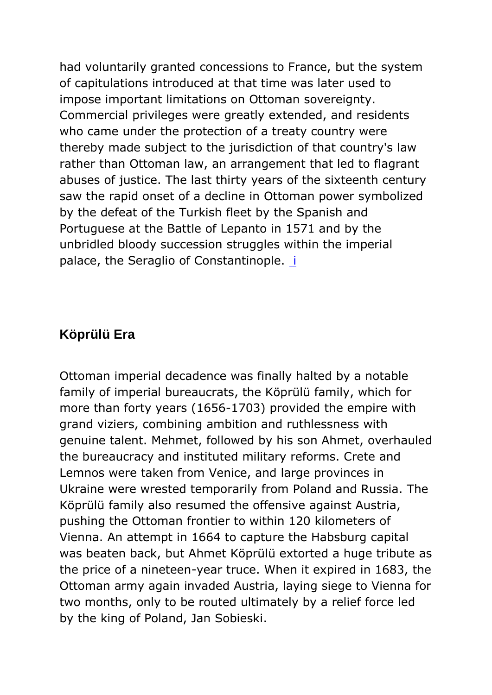had voluntarily granted concessions to France, but the system of capitulations introduced at that time was later used to impose important limitations on Ottoman sovereignty. Commercial privileges were greatly extended, and residents who came under the protection of a treaty country were thereby made subject to the jurisdiction of that country's law rather than Ottoman law, an arrangement that led to flagrant abuses of justice. The last thirty years of the sixteenth century saw the rapid onset of a decline in Ottoman power symbolized by the defeat of the Turkish fleet by the Spanish and Portuguese at the Battle of Lepanto in 1571 and by the unbridled bloody succession struggles within the imperial palace, the Seraglio of Constantinople. [i](#page-0-0)

#### <span id="page-42-0"></span>**Köprülü Era**

Ottoman imperial decadence was finally halted by a notable family of imperial bureaucrats, the Köprülü family, which for more than forty years (1656-1703) provided the empire with grand viziers, combining ambition and ruthlessness with genuine talent. Mehmet, followed by his son Ahmet, overhauled the bureaucracy and instituted military reforms. Crete and Lemnos were taken from Venice, and large provinces in Ukraine were wrested temporarily from Poland and Russia. The Köprülü family also resumed the offensive against Austria, pushing the Ottoman frontier to within 120 kilometers of Vienna. An attempt in 1664 to capture the Habsburg capital was beaten back, but Ahmet Köprülü extorted a huge tribute as the price of a nineteen-year truce. When it expired in 1683, the Ottoman army again invaded Austria, laying siege to Vienna for two months, only to be routed ultimately by a relief force led by the king of Poland, Jan Sobieski.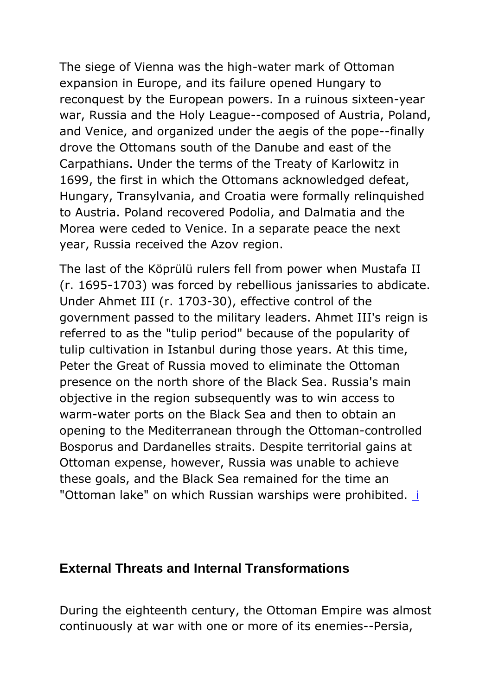The siege of Vienna was the high-water mark of Ottoman expansion in Europe, and its failure opened Hungary to reconquest by the European powers. In a ruinous sixteen-year war, Russia and the Holy League--composed of Austria, Poland, and Venice, and organized under the aegis of the pope--finally drove the Ottomans south of the Danube and east of the Carpathians. Under the terms of the Treaty of Karlowitz in 1699, the first in which the Ottomans acknowledged defeat, Hungary, Transylvania, and Croatia were formally relinquished to Austria. Poland recovered Podolia, and Dalmatia and the Morea were ceded to Venice. In a separate peace the next year, Russia received the Azov region.

The last of the Köprülü rulers fell from power when Mustafa II (r. 1695-1703) was forced by rebellious janissaries to abdicate. Under Ahmet III (r. 1703-30), effective control of the government passed to the military leaders. Ahmet III's reign is referred to as the "tulip period" because of the popularity of tulip cultivation in Istanbul during those years. At this time, Peter the Great of Russia moved to eliminate the Ottoman presence on the north shore of the Black Sea. Russia's main objective in the region subsequently was to win access to warm-water ports on the Black Sea and then to obtain an opening to the Mediterranean through the Ottoman-controlled Bosporus and Dardanelles straits. Despite territorial gains at Ottoman expense, however, Russia was unable to achieve these goals, and the Black Sea remained for the time an "Ottoman lake" on which Russian warships were prohibited. *i* 

#### <span id="page-43-0"></span>**External Threats and Internal Transformations**

During the eighteenth century, the Ottoman Empire was almost continuously at war with one or more of its enemies--Persia,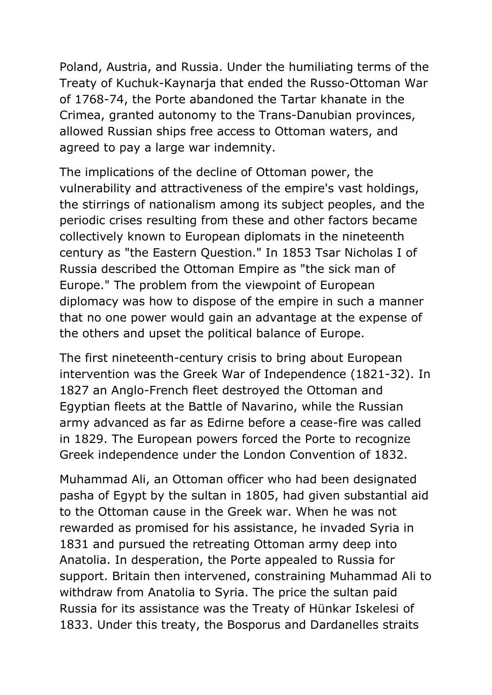Poland, Austria, and Russia. Under the humiliating terms of the Treaty of Kuchuk-Kaynarja that ended the Russo-Ottoman War of 1768-74, the Porte abandoned the Tartar khanate in the Crimea, granted autonomy to the Trans-Danubian provinces, allowed Russian ships free access to Ottoman waters, and agreed to pay a large war indemnity.

The implications of the decline of Ottoman power, the vulnerability and attractiveness of the empire's vast holdings, the stirrings of nationalism among its subject peoples, and the periodic crises resulting from these and other factors became collectively known to European diplomats in the nineteenth century as "the Eastern Question." In 1853 Tsar Nicholas I of Russia described the Ottoman Empire as "the sick man of Europe." The problem from the viewpoint of European diplomacy was how to dispose of the empire in such a manner that no one power would gain an advantage at the expense of the others and upset the political balance of Europe.

The first nineteenth-century crisis to bring about European intervention was the Greek War of Independence (1821-32). In 1827 an Anglo-French fleet destroyed the Ottoman and Egyptian fleets at the Battle of Navarino, while the Russian army advanced as far as Edirne before a cease-fire was called in 1829. The European powers forced the Porte to recognize Greek independence under the London Convention of 1832.

Muhammad Ali, an Ottoman officer who had been designated pasha of Egypt by the sultan in 1805, had given substantial aid to the Ottoman cause in the Greek war. When he was not rewarded as promised for his assistance, he invaded Syria in 1831 and pursued the retreating Ottoman army deep into Anatolia. In desperation, the Porte appealed to Russia for support. Britain then intervened, constraining Muhammad Ali to withdraw from Anatolia to Syria. The price the sultan paid Russia for its assistance was the Treaty of Hünkar Iskelesi of 1833. Under this treaty, the Bosporus and Dardanelles straits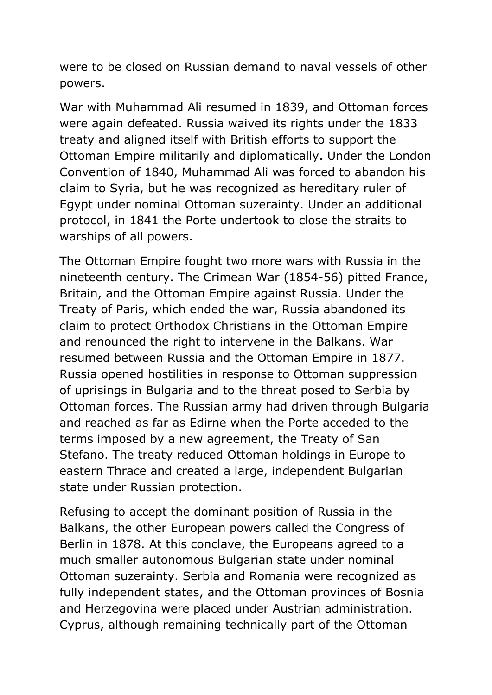were to be closed on Russian demand to naval vessels of other powers.

War with Muhammad Ali resumed in 1839, and Ottoman forces were again defeated. Russia waived its rights under the 1833 treaty and aligned itself with British efforts to support the Ottoman Empire militarily and diplomatically. Under the London Convention of 1840, Muhammad Ali was forced to abandon his claim to Syria, but he was recognized as hereditary ruler of Egypt under nominal Ottoman suzerainty. Under an additional protocol, in 1841 the Porte undertook to close the straits to warships of all powers.

The Ottoman Empire fought two more wars with Russia in the nineteenth century. The Crimean War (1854-56) pitted France, Britain, and the Ottoman Empire against Russia. Under the Treaty of Paris, which ended the war, Russia abandoned its claim to protect Orthodox Christians in the Ottoman Empire and renounced the right to intervene in the Balkans. War resumed between Russia and the Ottoman Empire in 1877. Russia opened hostilities in response to Ottoman suppression of uprisings in Bulgaria and to the threat posed to Serbia by Ottoman forces. The Russian army had driven through Bulgaria and reached as far as Edirne when the Porte acceded to the terms imposed by a new agreement, the Treaty of San Stefano. The treaty reduced Ottoman holdings in Europe to eastern Thrace and created a large, independent Bulgarian state under Russian protection.

Refusing to accept the dominant position of Russia in the Balkans, the other European powers called the Congress of Berlin in 1878. At this conclave, the Europeans agreed to a much smaller autonomous Bulgarian state under nominal Ottoman suzerainty. Serbia and Romania were recognized as fully independent states, and the Ottoman provinces of Bosnia and Herzegovina were placed under Austrian administration. Cyprus, although remaining technically part of the Ottoman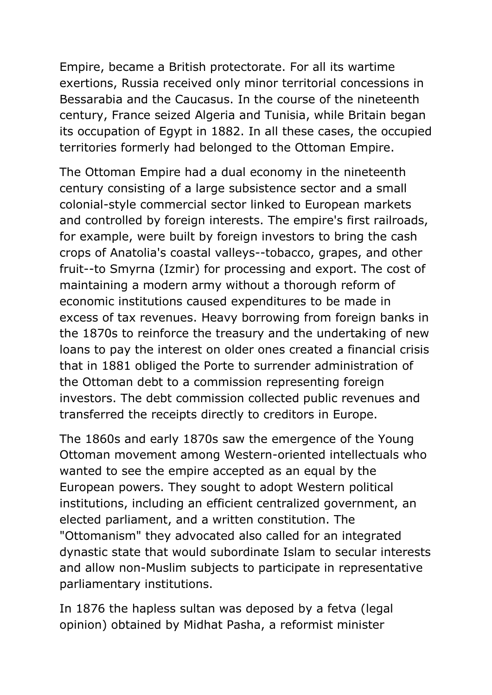Empire, became a British protectorate. For all its wartime exertions, Russia received only minor territorial concessions in Bessarabia and the Caucasus. In the course of the nineteenth century, France seized Algeria and Tunisia, while Britain began its occupation of Egypt in 1882. In all these cases, the occupied territories formerly had belonged to the Ottoman Empire.

The Ottoman Empire had a dual economy in the nineteenth century consisting of a large subsistence sector and a small colonial-style commercial sector linked to European markets and controlled by foreign interests. The empire's first railroads, for example, were built by foreign investors to bring the cash crops of Anatolia's coastal valleys--tobacco, grapes, and other fruit--to Smyrna (Izmir) for processing and export. The cost of maintaining a modern army without a thorough reform of economic institutions caused expenditures to be made in excess of tax revenues. Heavy borrowing from foreign banks in the 1870s to reinforce the treasury and the undertaking of new loans to pay the interest on older ones created a financial crisis that in 1881 obliged the Porte to surrender administration of the Ottoman debt to a commission representing foreign investors. The debt commission collected public revenues and transferred the receipts directly to creditors in Europe.

The 1860s and early 1870s saw the emergence of the Young Ottoman movement among Western-oriented intellectuals who wanted to see the empire accepted as an equal by the European powers. They sought to adopt Western political institutions, including an efficient centralized government, an elected parliament, and a written constitution. The "Ottomanism" they advocated also called for an integrated dynastic state that would subordinate Islam to secular interests and allow non-Muslim subjects to participate in representative parliamentary institutions.

In 1876 the hapless sultan was deposed by a fetva (legal opinion) obtained by Midhat Pasha, a reformist minister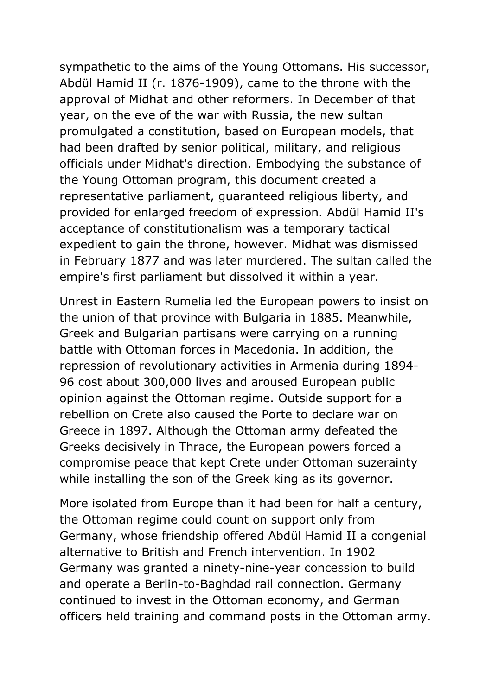sympathetic to the aims of the Young Ottomans. His successor, Abdül Hamid II (r. 1876-1909), came to the throne with the approval of Midhat and other reformers. In December of that year, on the eve of the war with Russia, the new sultan promulgated a constitution, based on European models, that had been drafted by senior political, military, and religious officials under Midhat's direction. Embodying the substance of the Young Ottoman program, this document created a representative parliament, guaranteed religious liberty, and provided for enlarged freedom of expression. Abdül Hamid II's acceptance of constitutionalism was a temporary tactical expedient to gain the throne, however. Midhat was dismissed in February 1877 and was later murdered. The sultan called the empire's first parliament but dissolved it within a year.

Unrest in Eastern Rumelia led the European powers to insist on the union of that province with Bulgaria in 1885. Meanwhile, Greek and Bulgarian partisans were carrying on a running battle with Ottoman forces in Macedonia. In addition, the repression of revolutionary activities in Armenia during 1894- 96 cost about 300,000 lives and aroused European public opinion against the Ottoman regime. Outside support for a rebellion on Crete also caused the Porte to declare war on Greece in 1897. Although the Ottoman army defeated the Greeks decisively in Thrace, the European powers forced a compromise peace that kept Crete under Ottoman suzerainty while installing the son of the Greek king as its governor.

More isolated from Europe than it had been for half a century, the Ottoman regime could count on support only from Germany, whose friendship offered Abdül Hamid II a congenial alternative to British and French intervention. In 1902 Germany was granted a ninety-nine-year concession to build and operate a Berlin-to-Baghdad rail connection. Germany continued to invest in the Ottoman economy, and German officers held training and command posts in the Ottoman army.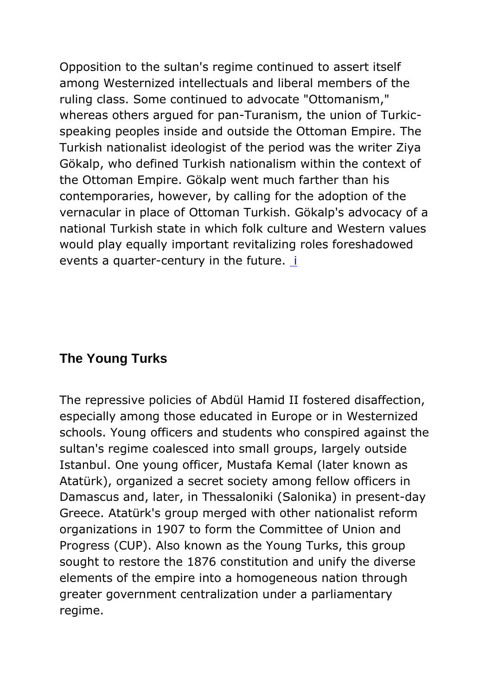Opposition to the sultan's regime continued to assert itself among Westernized intellectuals and liberal members of the ruling class. Some continued to advocate "Ottomanism," whereas others argued for pan-Turanism, the union of Turkicspeaking peoples inside and outside the Ottoman Empire. The Turkish nationalist ideologist of the period was the writer Ziya Gökalp, who defined Turkish nationalism within the context of the Ottoman Empire. Gökalp went much farther than his contemporaries, however, by calling for the adoption of the vernacular in place of Ottoman Turkish. Gökalp's advocacy of a national Turkish state in which folk culture and Western values would play equally important revitalizing roles foreshadowed events a quarter-century in the future. [i](#page-0-0)

# <span id="page-48-0"></span>**The Young Turks**

The repressive policies of Abdül Hamid II fostered disaffection, especially among those educated in Europe or in Westernized schools. Young officers and students who conspired against the sultan's regime coalesced into small groups, largely outside Istanbul. One young officer, Mustafa Kemal (later known as Atatürk), organized a secret society among fellow officers in Damascus and, later, in Thessaloniki (Salonika) in present-day Greece. Atatürk's group merged with other nationalist reform organizations in 1907 to form the Committee of Union and Progress (CUP). Also known as the Young Turks, this group sought to restore the 1876 constitution and unify the diverse elements of the empire into a homogeneous nation through greater government centralization under a parliamentary regime.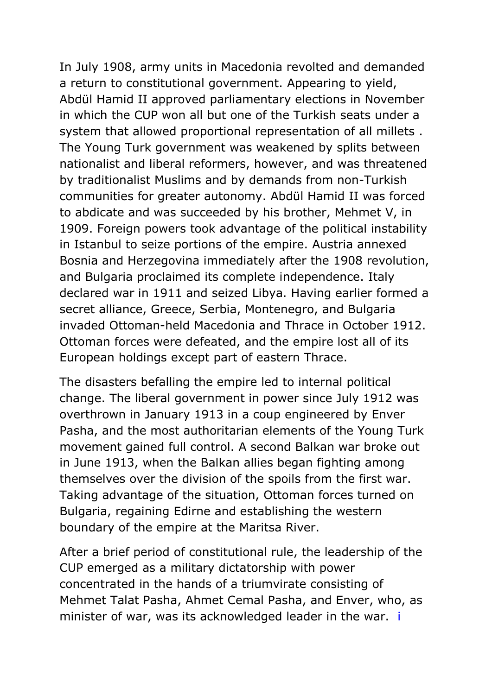In July 1908, army units in Macedonia revolted and demanded a return to constitutional government. Appearing to yield, Abdül Hamid II approved parliamentary elections in November in which the CUP won all but one of the Turkish seats under a system that allowed proportional representation of all millets . The Young Turk government was weakened by splits between nationalist and liberal reformers, however, and was threatened by traditionalist Muslims and by demands from non-Turkish communities for greater autonomy. Abdül Hamid II was forced to abdicate and was succeeded by his brother, Mehmet V, in 1909. Foreign powers took advantage of the political instability in Istanbul to seize portions of the empire. Austria annexed Bosnia and Herzegovina immediately after the 1908 revolution, and Bulgaria proclaimed its complete independence. Italy declared war in 1911 and seized Libya. Having earlier formed a secret alliance, Greece, Serbia, Montenegro, and Bulgaria invaded Ottoman-held Macedonia and Thrace in October 1912. Ottoman forces were defeated, and the empire lost all of its European holdings except part of eastern Thrace.

The disasters befalling the empire led to internal political change. The liberal government in power since July 1912 was overthrown in January 1913 in a coup engineered by Enver Pasha, and the most authoritarian elements of the Young Turk movement gained full control. A second Balkan war broke out in June 1913, when the Balkan allies began fighting among themselves over the division of the spoils from the first war. Taking advantage of the situation, Ottoman forces turned on Bulgaria, regaining Edirne and establishing the western boundary of the empire at the Maritsa River.

After a brief period of constitutional rule, the leadership of the CUP emerged as a military dictatorship with power concentrated in the hands of a triumvirate consisting of Mehmet Talat Pasha, Ahmet Cemal Pasha, and Enver, who, as minister of war, was [i](#page-0-0)ts acknowledged leader in the war. i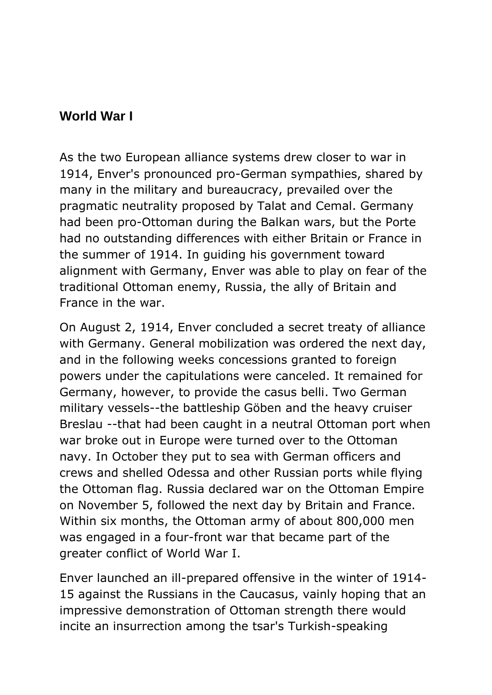#### <span id="page-50-0"></span>**World War I**

As the two European alliance systems drew closer to war in 1914, Enver's pronounced pro-German sympathies, shared by many in the military and bureaucracy, prevailed over the pragmatic neutrality proposed by Talat and Cemal. Germany had been pro-Ottoman during the Balkan wars, but the Porte had no outstanding differences with either Britain or France in the summer of 1914. In guiding his government toward alignment with Germany, Enver was able to play on fear of the traditional Ottoman enemy, Russia, the ally of Britain and France in the war.

On August 2, 1914, Enver concluded a secret treaty of alliance with Germany. General mobilization was ordered the next day, and in the following weeks concessions granted to foreign powers under the capitulations were canceled. It remained for Germany, however, to provide the casus belli. Two German military vessels--the battleship Göben and the heavy cruiser Breslau --that had been caught in a neutral Ottoman port when war broke out in Europe were turned over to the Ottoman navy. In October they put to sea with German officers and crews and shelled Odessa and other Russian ports while flying the Ottoman flag. Russia declared war on the Ottoman Empire on November 5, followed the next day by Britain and France. Within six months, the Ottoman army of about 800,000 men was engaged in a four-front war that became part of the greater conflict of World War I.

Enver launched an ill-prepared offensive in the winter of 1914- 15 against the Russians in the Caucasus, vainly hoping that an impressive demonstration of Ottoman strength there would incite an insurrection among the tsar's Turkish-speaking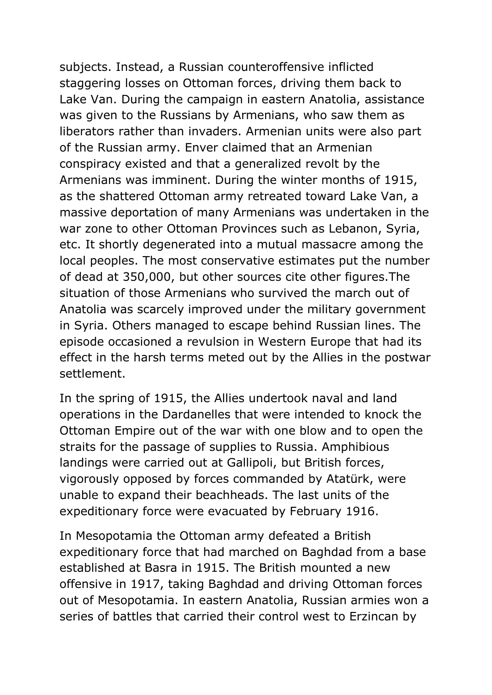subjects. Instead, a Russian counteroffensive inflicted staggering losses on Ottoman forces, driving them back to Lake Van. During the campaign in eastern Anatolia, assistance was given to the Russians by Armenians, who saw them as liberators rather than invaders. Armenian units were also part of the Russian army. Enver claimed that an Armenian conspiracy existed and that a generalized revolt by the Armenians was imminent. During the winter months of 1915, as the shattered Ottoman army retreated toward Lake Van, a massive deportation of many Armenians was undertaken in the war zone to other Ottoman Provinces such as Lebanon, Syria, etc. It shortly degenerated into a mutual massacre among the local peoples. The most conservative estimates put the number of dead at 350,000, but other sources cite other figures.The situation of those Armenians who survived the march out of Anatolia was scarcely improved under the military government in Syria. Others managed to escape behind Russian lines. The episode occasioned a revulsion in Western Europe that had its effect in the harsh terms meted out by the Allies in the postwar settlement.

In the spring of 1915, the Allies undertook naval and land operations in the Dardanelles that were intended to knock the Ottoman Empire out of the war with one blow and to open the straits for the passage of supplies to Russia. Amphibious landings were carried out at Gallipoli, but British forces, vigorously opposed by forces commanded by Atatürk, were unable to expand their beachheads. The last units of the expeditionary force were evacuated by February 1916.

In Mesopotamia the Ottoman army defeated a British expeditionary force that had marched on Baghdad from a base established at Basra in 1915. The British mounted a new offensive in 1917, taking Baghdad and driving Ottoman forces out of Mesopotamia. In eastern Anatolia, Russian armies won a series of battles that carried their control west to Erzincan by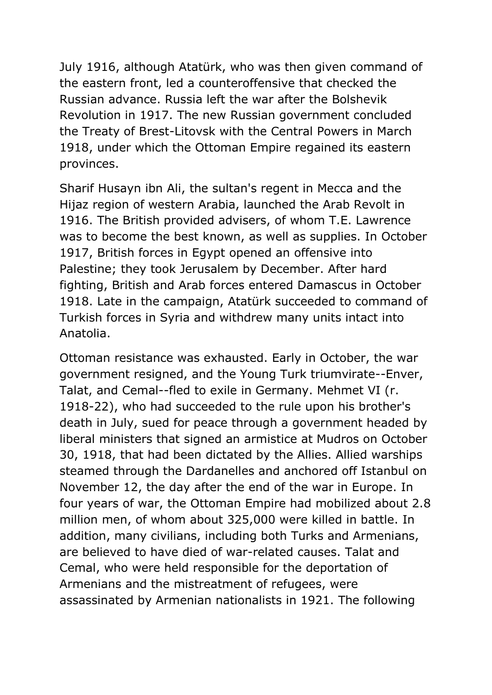July 1916, although Atatürk, who was then given command of the eastern front, led a counteroffensive that checked the Russian advance. Russia left the war after the Bolshevik Revolution in 1917. The new Russian government concluded the Treaty of Brest-Litovsk with the Central Powers in March 1918, under which the Ottoman Empire regained its eastern provinces.

Sharif Husayn ibn Ali, the sultan's regent in Mecca and the Hijaz region of western Arabia, launched the Arab Revolt in 1916. The British provided advisers, of whom T.E. Lawrence was to become the best known, as well as supplies. In October 1917, British forces in Egypt opened an offensive into Palestine; they took Jerusalem by December. After hard fighting, British and Arab forces entered Damascus in October 1918. Late in the campaign, Atatürk succeeded to command of Turkish forces in Syria and withdrew many units intact into Anatolia.

Ottoman resistance was exhausted. Early in October, the war government resigned, and the Young Turk triumvirate--Enver, Talat, and Cemal--fled to exile in Germany. Mehmet VI (r. 1918-22), who had succeeded to the rule upon his brother's death in July, sued for peace through a government headed by liberal ministers that signed an armistice at Mudros on October 30, 1918, that had been dictated by the Allies. Allied warships steamed through the Dardanelles and anchored off Istanbul on November 12, the day after the end of the war in Europe. In four years of war, the Ottoman Empire had mobilized about 2.8 million men, of whom about 325,000 were killed in battle. In addition, many civilians, including both Turks and Armenians, are believed to have died of war-related causes. Talat and Cemal, who were held responsible for the deportation of Armenians and the mistreatment of refugees, were assassinated by Armenian nationalists in 1921. The following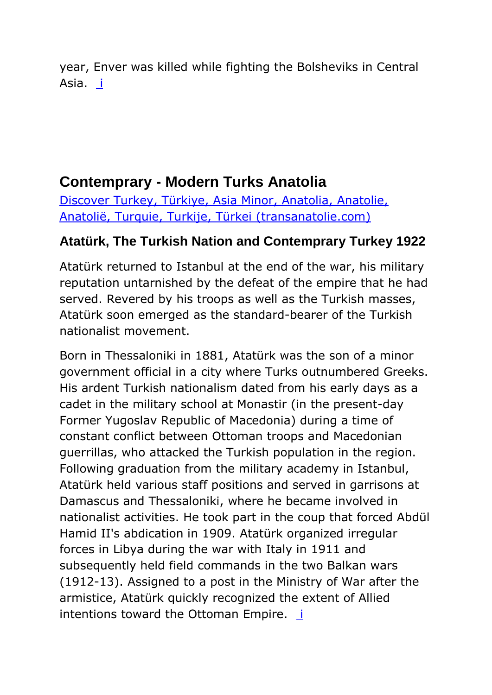year, Enver was killed while fighting the Bolsheviks in Central Asia. [i](#page-0-0)

# <span id="page-53-0"></span>**Contemprary - Modern Turks Anatolia**

[Discover Turkey, Türkiye, Asia Minor, Anatolia, Anatolie,](https://transanatolie.com/English/Turkey/turkey.htm)  [Anatolië, Turquie, Turkije, Türkei \(transanatolie.com\)](https://transanatolie.com/English/Turkey/turkey.htm)

# <span id="page-53-1"></span>**Atatürk, The Turkish Nation and Contemprary Turkey 1922**

Atatürk returned to Istanbul at the end of the war, his military reputation untarnished by the defeat of the empire that he had served. Revered by his troops as well as the Turkish masses, Atatürk soon emerged as the standard-bearer of the Turkish nationalist movement.

Born in Thessaloniki in 1881, Atatürk was the son of a minor government official in a city where Turks outnumbered Greeks. His ardent Turkish nationalism dated from his early days as a cadet in the military school at Monastir (in the present-day Former Yugoslav Republic of Macedonia) during a time of constant conflict between Ottoman troops and Macedonian guerrillas, who attacked the Turkish population in the region. Following graduation from the military academy in Istanbul, Atatürk held various staff positions and served in garrisons at Damascus and Thessaloniki, where he became involved in nationalist activities. He took part in the coup that forced Abdül Hamid II's abdication in 1909. Atatürk organized irregular forces in Libya during the war with Italy in 1911 and subsequently held field commands in the two Balkan wars (1912-13). Assigned to a post in the Ministry of War after the armistice, Atatürk quickly recognized the extent of Allied intentions toward the Ottoman Empire. [i](#page-0-0)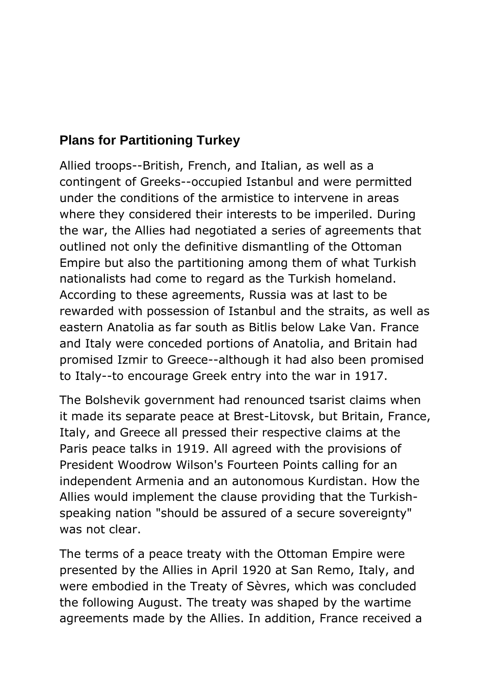# <span id="page-54-0"></span>**Plans for Partitioning Turkey**

Allied troops--British, French, and Italian, as well as a contingent of Greeks--occupied Istanbul and were permitted under the conditions of the armistice to intervene in areas where they considered their interests to be imperiled. During the war, the Allies had negotiated a series of agreements that outlined not only the definitive dismantling of the Ottoman Empire but also the partitioning among them of what Turkish nationalists had come to regard as the Turkish homeland. According to these agreements, Russia was at last to be rewarded with possession of Istanbul and the straits, as well as eastern Anatolia as far south as Bitlis below Lake Van. France and Italy were conceded portions of Anatolia, and Britain had promised Izmir to Greece--although it had also been promised to Italy--to encourage Greek entry into the war in 1917.

The Bolshevik government had renounced tsarist claims when it made its separate peace at Brest-Litovsk, but Britain, France, Italy, and Greece all pressed their respective claims at the Paris peace talks in 1919. All agreed with the provisions of President Woodrow Wilson's Fourteen Points calling for an independent Armenia and an autonomous Kurdistan. How the Allies would implement the clause providing that the Turkishspeaking nation "should be assured of a secure sovereignty" was not clear.

The terms of a peace treaty with the Ottoman Empire were presented by the Allies in April 1920 at San Remo, Italy, and were embodied in the Treaty of Sèvres, which was concluded the following August. The treaty was shaped by the wartime agreements made by the Allies. In addition, France received a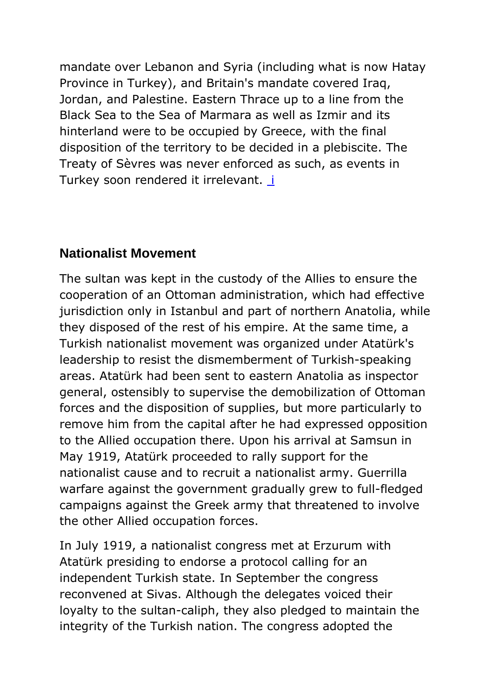mandate over Lebanon and Syria (including what is now Hatay Province in Turkey), and Britain's mandate covered Iraq, Jordan, and Palestine. Eastern Thrace up to a line from the Black Sea to the Sea of Marmara as well as Izmir and its hinterland were to be occupied by Greece, with the final disposition of the territory to be decided in a plebiscite. The Treaty of Sèvres was never enforced as such, as events in Turkey soon rendered it irrelevant. [i](#page-0-0)

#### <span id="page-55-0"></span>**Nationalist Movement**

The sultan was kept in the custody of the Allies to ensure the cooperation of an Ottoman administration, which had effective jurisdiction only in Istanbul and part of northern Anatolia, while they disposed of the rest of his empire. At the same time, a Turkish nationalist movement was organized under Atatürk's leadership to resist the dismemberment of Turkish-speaking areas. Atatürk had been sent to eastern Anatolia as inspector general, ostensibly to supervise the demobilization of Ottoman forces and the disposition of supplies, but more particularly to remove him from the capital after he had expressed opposition to the Allied occupation there. Upon his arrival at Samsun in May 1919, Atatürk proceeded to rally support for the nationalist cause and to recruit a nationalist army. Guerrilla warfare against the government gradually grew to full-fledged campaigns against the Greek army that threatened to involve the other Allied occupation forces.

In July 1919, a nationalist congress met at Erzurum with Atatürk presiding to endorse a protocol calling for an independent Turkish state. In September the congress reconvened at Sivas. Although the delegates voiced their loyalty to the sultan-caliph, they also pledged to maintain the integrity of the Turkish nation. The congress adopted the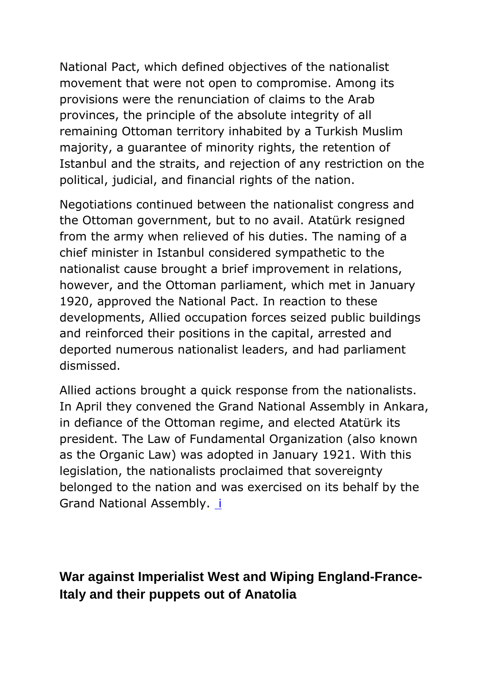National Pact, which defined objectives of the nationalist movement that were not open to compromise. Among its provisions were the renunciation of claims to the Arab provinces, the principle of the absolute integrity of all remaining Ottoman territory inhabited by a Turkish Muslim majority, a guarantee of minority rights, the retention of Istanbul and the straits, and rejection of any restriction on the political, judicial, and financial rights of the nation.

Negotiations continued between the nationalist congress and the Ottoman government, but to no avail. Atatürk resigned from the army when relieved of his duties. The naming of a chief minister in Istanbul considered sympathetic to the nationalist cause brought a brief improvement in relations, however, and the Ottoman parliament, which met in January 1920, approved the National Pact. In reaction to these developments, Allied occupation forces seized public buildings and reinforced their positions in the capital, arrested and deported numerous nationalist leaders, and had parliament dismissed.

Allied actions brought a quick response from the nationalists. In April they convened the Grand National Assembly in Ankara, in defiance of the Ottoman regime, and elected Atatürk its president. The Law of Fundamental Organization (also known as the Organic Law) was adopted in January 1921. With this legislation, the nationalists proclaimed that sovereignty belonged to the nation and was exercised on its behalf by the Grand National Assembly. [i](#page-0-0)

# <span id="page-56-0"></span>**War against Imperialist West and Wiping England-France-Italy and their puppets out of Anatolia**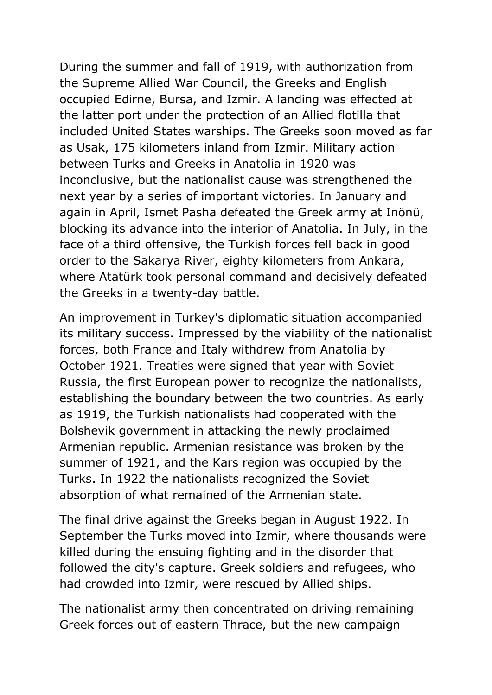During the summer and fall of 1919, with authorization from the Supreme Allied War Council, the Greeks and English occupied Edirne, Bursa, and Izmir. A landing was effected at the latter port under the protection of an Allied flotilla that included United States warships. The Greeks soon moved as far as Usak, 175 kilometers inland from Izmir. Military action between Turks and Greeks in Anatolia in 1920 was inconclusive, but the nationalist cause was strengthened the next year by a series of important victories. In January and again in April, Ismet Pasha defeated the Greek army at Inönü, blocking its advance into the interior of Anatolia. In July, in the face of a third offensive, the Turkish forces fell back in good order to the Sakarya River, eighty kilometers from Ankara, where Atatürk took personal command and decisively defeated the Greeks in a twenty-day battle.

An improvement in Turkey's diplomatic situation accompanied its military success. Impressed by the viability of the nationalist forces, both France and Italy withdrew from Anatolia by October 1921. Treaties were signed that year with Soviet Russia, the first European power to recognize the nationalists, establishing the boundary between the two countries. As early as 1919, the Turkish nationalists had cooperated with the Bolshevik government in attacking the newly proclaimed Armenian republic. Armenian resistance was broken by the summer of 1921, and the Kars region was occupied by the Turks. In 1922 the nationalists recognized the Soviet absorption of what remained of the Armenian state.

The final drive against the Greeks began in August 1922. In September the Turks moved into Izmir, where thousands were killed during the ensuing fighting and in the disorder that followed the city's capture. Greek soldiers and refugees, who had crowded into Izmir, were rescued by Allied ships.

The nationalist army then concentrated on driving remaining Greek forces out of eastern Thrace, but the new campaign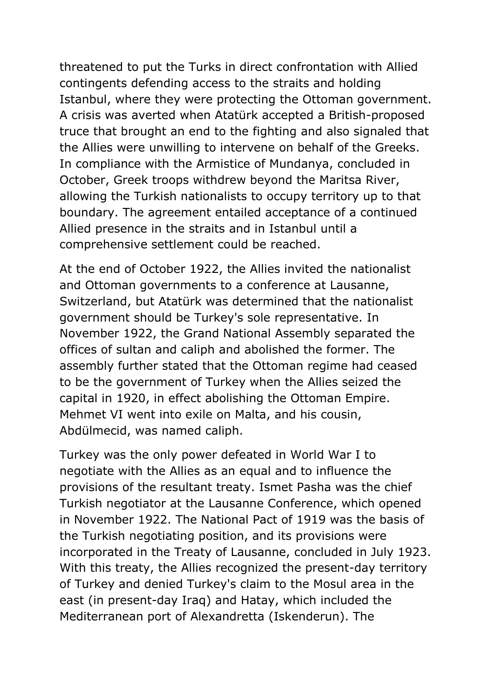threatened to put the Turks in direct confrontation with Allied contingents defending access to the straits and holding Istanbul, where they were protecting the Ottoman government. A crisis was averted when Atatürk accepted a British-proposed truce that brought an end to the fighting and also signaled that the Allies were unwilling to intervene on behalf of the Greeks. In compliance with the Armistice of Mundanya, concluded in October, Greek troops withdrew beyond the Maritsa River, allowing the Turkish nationalists to occupy territory up to that boundary. The agreement entailed acceptance of a continued Allied presence in the straits and in Istanbul until a comprehensive settlement could be reached.

At the end of October 1922, the Allies invited the nationalist and Ottoman governments to a conference at Lausanne, Switzerland, but Atatürk was determined that the nationalist government should be Turkey's sole representative. In November 1922, the Grand National Assembly separated the offices of sultan and caliph and abolished the former. The assembly further stated that the Ottoman regime had ceased to be the government of Turkey when the Allies seized the capital in 1920, in effect abolishing the Ottoman Empire. Mehmet VI went into exile on Malta, and his cousin, Abdülmecid, was named caliph.

Turkey was the only power defeated in World War I to negotiate with the Allies as an equal and to influence the provisions of the resultant treaty. Ismet Pasha was the chief Turkish negotiator at the Lausanne Conference, which opened in November 1922. The National Pact of 1919 was the basis of the Turkish negotiating position, and its provisions were incorporated in the Treaty of Lausanne, concluded in July 1923. With this treaty, the Allies recognized the present-day territory of Turkey and denied Turkey's claim to the Mosul area in the east (in present-day Iraq) and Hatay, which included the Mediterranean port of Alexandretta (Iskenderun). The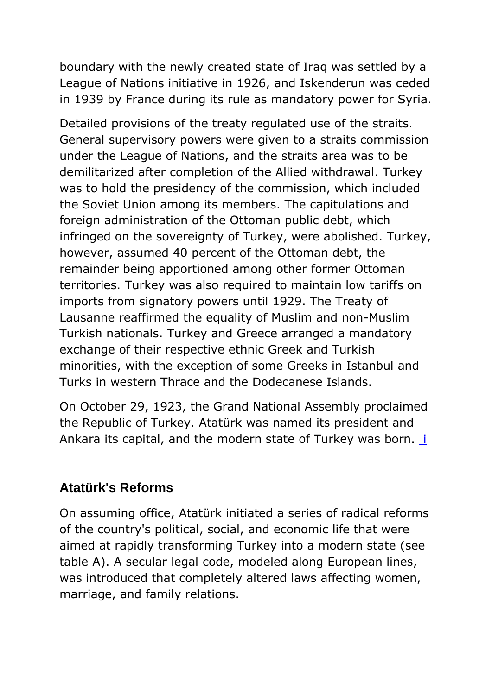boundary with the newly created state of Iraq was settled by a League of Nations initiative in 1926, and Iskenderun was ceded in 1939 by France during its rule as mandatory power for Syria.

Detailed provisions of the treaty regulated use of the straits. General supervisory powers were given to a straits commission under the League of Nations, and the straits area was to be demilitarized after completion of the Allied withdrawal. Turkey was to hold the presidency of the commission, which included the Soviet Union among its members. The capitulations and foreign administration of the Ottoman public debt, which infringed on the sovereignty of Turkey, were abolished. Turkey, however, assumed 40 percent of the Ottoman debt, the remainder being apportioned among other former Ottoman territories. Turkey was also required to maintain low tariffs on imports from signatory powers until 1929. The Treaty of Lausanne reaffirmed the equality of Muslim and non-Muslim Turkish nationals. Turkey and Greece arranged a mandatory exchange of their respective ethnic Greek and Turkish minorities, with the exception of some Greeks in Istanbul and Turks in western Thrace and the Dodecanese Islands.

On October 29, 1923, the Grand National Assembly proclaimed the Republic of Turkey. Atatürk was named its president and Ankara [i](#page-0-0)ts capital, and the modern state of Turkey was born. i

# <span id="page-59-0"></span>**Atatürk's Reforms**

On assuming office, Atatürk initiated a series of radical reforms of the country's political, social, and economic life that were aimed at rapidly transforming Turkey into a modern state (see table A). A secular legal code, modeled along European lines, was introduced that completely altered laws affecting women, marriage, and family relations.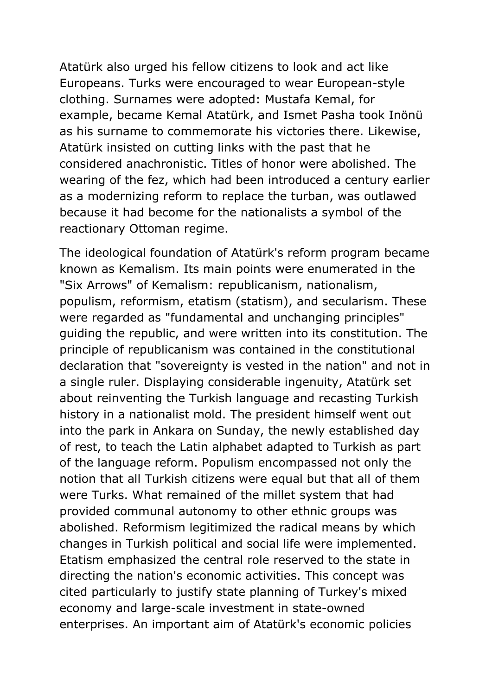Atatürk also urged his fellow citizens to look and act like Europeans. Turks were encouraged to wear European-style clothing. Surnames were adopted: Mustafa Kemal, for example, became Kemal Atatürk, and Ismet Pasha took Inönü as his surname to commemorate his victories there. Likewise, Atatürk insisted on cutting links with the past that he considered anachronistic. Titles of honor were abolished. The wearing of the fez, which had been introduced a century earlier as a modernizing reform to replace the turban, was outlawed because it had become for the nationalists a symbol of the reactionary Ottoman regime.

The ideological foundation of Atatürk's reform program became known as Kemalism. Its main points were enumerated in the "Six Arrows" of Kemalism: republicanism, nationalism, populism, reformism, etatism (statism), and secularism. These were regarded as "fundamental and unchanging principles" guiding the republic, and were written into its constitution. The principle of republicanism was contained in the constitutional declaration that "sovereignty is vested in the nation" and not in a single ruler. Displaying considerable ingenuity, Atatürk set about reinventing the Turkish language and recasting Turkish history in a nationalist mold. The president himself went out into the park in Ankara on Sunday, the newly established day of rest, to teach the Latin alphabet adapted to Turkish as part of the language reform. Populism encompassed not only the notion that all Turkish citizens were equal but that all of them were Turks. What remained of the millet system that had provided communal autonomy to other ethnic groups was abolished. Reformism legitimized the radical means by which changes in Turkish political and social life were implemented. Etatism emphasized the central role reserved to the state in directing the nation's economic activities. This concept was cited particularly to justify state planning of Turkey's mixed economy and large-scale investment in state-owned enterprises. An important aim of Atatürk's economic policies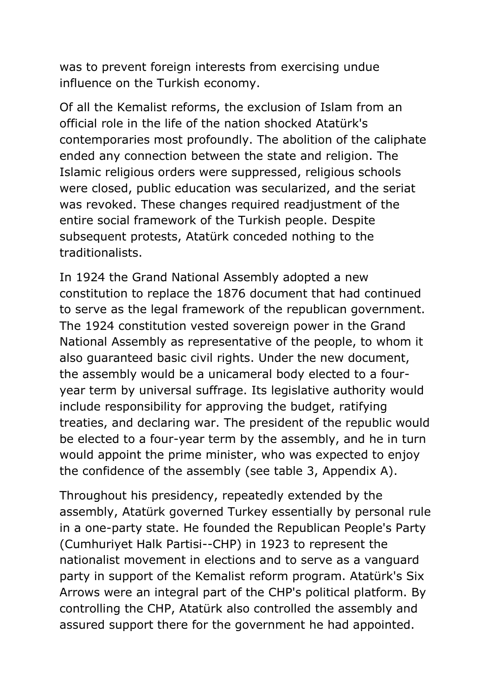was to prevent foreign interests from exercising undue influence on the Turkish economy.

Of all the Kemalist reforms, the exclusion of Islam from an official role in the life of the nation shocked Atatürk's contemporaries most profoundly. The abolition of the caliphate ended any connection between the state and religion. The Islamic religious orders were suppressed, religious schools were closed, public education was secularized, and the seriat was revoked. These changes required readjustment of the entire social framework of the Turkish people. Despite subsequent protests, Atatürk conceded nothing to the traditionalists.

In 1924 the Grand National Assembly adopted a new constitution to replace the 1876 document that had continued to serve as the legal framework of the republican government. The 1924 constitution vested sovereign power in the Grand National Assembly as representative of the people, to whom it also guaranteed basic civil rights. Under the new document, the assembly would be a unicameral body elected to a fouryear term by universal suffrage. Its legislative authority would include responsibility for approving the budget, ratifying treaties, and declaring war. The president of the republic would be elected to a four-year term by the assembly, and he in turn would appoint the prime minister, who was expected to enjoy the confidence of the assembly (see table 3, Appendix A).

Throughout his presidency, repeatedly extended by the assembly, Atatürk governed Turkey essentially by personal rule in a one-party state. He founded the Republican People's Party (Cumhuriyet Halk Partisi--CHP) in 1923 to represent the nationalist movement in elections and to serve as a vanguard party in support of the Kemalist reform program. Atatürk's Six Arrows were an integral part of the CHP's political platform. By controlling the CHP, Atatürk also controlled the assembly and assured support there for the government he had appointed.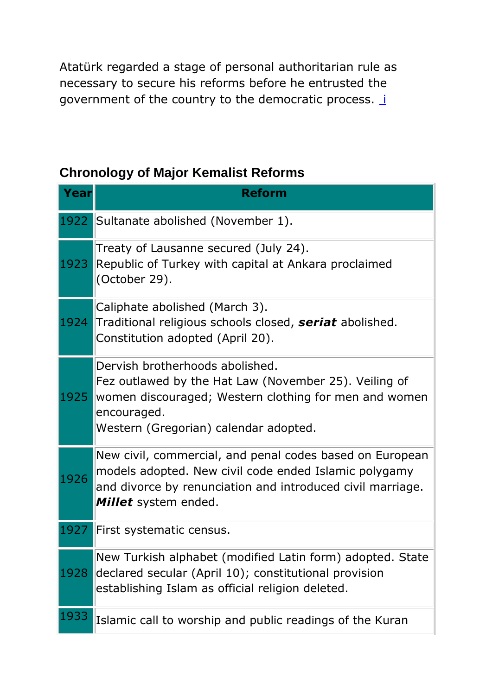Atatürk regarded a stage of personal authoritarian rule as necessary to secure his reforms before he entrusted the government of the country to the democrat[i](#page-0-0)c process.  $\underline{\mathbf{i}}$ 

# <span id="page-62-0"></span>**Chronology of Major Kemalist Reforms**

| Year | <b>Reform</b>                                                                                                                                                                                             |
|------|-----------------------------------------------------------------------------------------------------------------------------------------------------------------------------------------------------------|
|      | 1922 Sultanate abolished (November 1).                                                                                                                                                                    |
| 1923 | Treaty of Lausanne secured (July 24).<br>Republic of Turkey with capital at Ankara proclaimed<br>(October 29).                                                                                            |
| 1924 | Caliphate abolished (March 3).<br>Traditional religious schools closed, seriat abolished.<br>Constitution adopted (April 20).                                                                             |
| 1925 | Dervish brotherhoods abolished.<br>Fez outlawed by the Hat Law (November 25). Veiling of<br>women discouraged; Western clothing for men and women<br>encouraged.<br>Western (Gregorian) calendar adopted. |
| 1926 | New civil, commercial, and penal codes based on European<br>models adopted. New civil code ended Islamic polygamy<br>and divorce by renunciation and introduced civil marriage.<br>Millet system ended.   |
| 1927 | First systematic census.                                                                                                                                                                                  |
| 1928 | New Turkish alphabet (modified Latin form) adopted. State<br>declared secular (April 10); constitutional provision<br>establishing Islam as official religion deleted.                                    |
| 1933 | Islamic call to worship and public readings of the Kuran                                                                                                                                                  |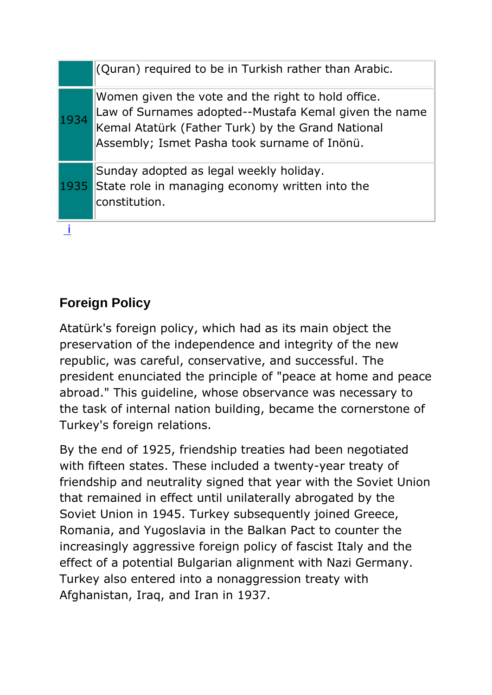|      | (Quran) required to be in Turkish rather than Arabic.                                                                                                                                                            |
|------|------------------------------------------------------------------------------------------------------------------------------------------------------------------------------------------------------------------|
| 1934 | Women given the vote and the right to hold office.<br>Law of Surnames adopted--Mustafa Kemal given the name<br>Kemal Atatürk (Father Turk) by the Grand National<br>Assembly; Ismet Pasha took surname of Inönü. |
| 1935 | Sunday adopted as legal weekly holiday.<br>State role in managing economy written into the<br>constitution.                                                                                                      |
|      |                                                                                                                                                                                                                  |

# <span id="page-63-0"></span>**Foreign Policy**

Atatürk's foreign policy, which had as its main object the preservation of the independence and integrity of the new republic, was careful, conservative, and successful. The president enunciated the principle of "peace at home and peace abroad." This guideline, whose observance was necessary to the task of internal nation building, became the cornerstone of Turkey's foreign relations.

By the end of 1925, friendship treaties had been negotiated with fifteen states. These included a twenty-year treaty of friendship and neutrality signed that year with the Soviet Union that remained in effect until unilaterally abrogated by the Soviet Union in 1945. Turkey subsequently joined Greece, Romania, and Yugoslavia in the Balkan Pact to counter the increasingly aggressive foreign policy of fascist Italy and the effect of a potential Bulgarian alignment with Nazi Germany. Turkey also entered into a nonaggression treaty with Afghanistan, Iraq, and Iran in 1937.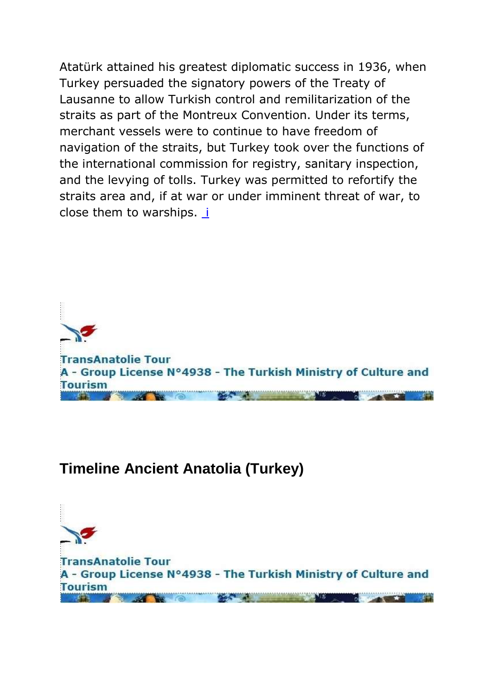Atatürk attained his greatest diplomatic success in 1936, when Turkey persuaded the signatory powers of the Treaty of Lausanne to allow Turkish control and remilitarization of the straits as part of the Montreux Convention. Under its terms, merchant vessels were to continue to have freedom of navigation of the straits, but Turkey took over the functions of the international commission for registry, sanitary inspection, and the levying of tolls. Turkey was permitted to refortify the straits area and, if at war or under imminent threat of war, to close them to warships. [i](#page-0-0)



# <span id="page-64-0"></span>**Timeline Ancient Anatolia (Turkey)**

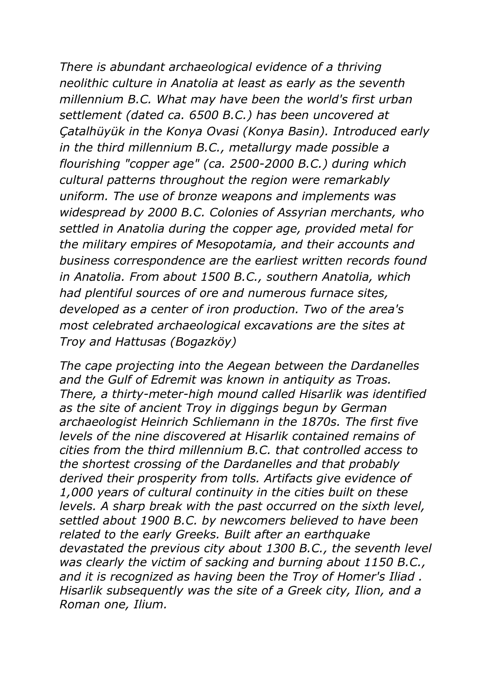*There is abundant archaeological evidence of a thriving neolithic culture in Anatolia at least as early as the seventh millennium B.C. What may have been the world's first urban settlement (dated ca. 6500 B.C.) has been uncovered at Çatalhüyük in the Konya Ovasi (Konya Basin). Introduced early in the third millennium B.C., metallurgy made possible a flourishing "copper age" (ca. 2500-2000 B.C.) during which cultural patterns throughout the region were remarkably uniform. The use of bronze weapons and implements was widespread by 2000 B.C. Colonies of Assyrian merchants, who settled in Anatolia during the copper age, provided metal for the military empires of Mesopotamia, and their accounts and business correspondence are the earliest written records found in Anatolia. From about 1500 B.C., southern Anatolia, which had plentiful sources of ore and numerous furnace sites, developed as a center of iron production. Two of the area's most celebrated archaeological excavations are the sites at Troy and Hattusas (Bogazköy)* 

*The cape projecting into the Aegean between the Dardanelles and the Gulf of Edremit was known in antiquity as Troas. There, a thirty-meter-high mound called Hisarlik was identified as the site of ancient Troy in diggings begun by German archaeologist Heinrich Schliemann in the 1870s. The first five levels of the nine discovered at Hisarlik contained remains of cities from the third millennium B.C. that controlled access to the shortest crossing of the Dardanelles and that probably derived their prosperity from tolls. Artifacts give evidence of 1,000 years of cultural continuity in the cities built on these levels. A sharp break with the past occurred on the sixth level, settled about 1900 B.C. by newcomers believed to have been related to the early Greeks. Built after an earthquake devastated the previous city about 1300 B.C., the seventh level was clearly the victim of sacking and burning about 1150 B.C., and it is recognized as having been the Troy of Homer's Iliad . Hisarlik subsequently was the site of a Greek city, Ilion, and a Roman one, Ilium.*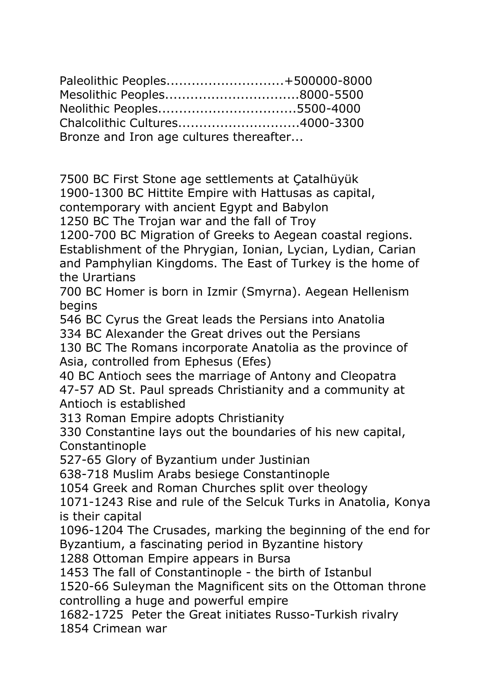| Paleolithic Peoples+500000-8000         |  |  |
|-----------------------------------------|--|--|
| Mesolithic Peoples8000-5500             |  |  |
| Neolithic Peoples5500-4000              |  |  |
| Chalcolithic Cultures4000-3300          |  |  |
| Bronze and Iron age cultures thereafter |  |  |

7500 BC First Stone age settlements at Çatalhüyük 1900-1300 BC Hittite Empire with Hattusas as capital, contemporary with ancient Egypt and Babylon

1250 BC The Trojan war and the fall of Troy 1200-700 BC Migration of Greeks to Aegean coastal regions.

Establishment of the Phrygian, Ionian, Lycian, Lydian, Carian and Pamphylian Kingdoms. The East of Turkey is the home of the Urartians

700 BC Homer is born in Izmir (Smyrna). Aegean Hellenism begins

546 BC Cyrus the Great leads the Persians into Anatolia 334 BC Alexander the Great drives out the Persians

130 BC The Romans incorporate Anatolia as the province of Asia, controlled from Ephesus (Efes)

40 BC Antioch sees the marriage of Antony and Cleopatra 47-57 AD St. Paul spreads Christianity and a community at Antioch is established

313 Roman Empire adopts Christianity

330 Constantine lays out the boundaries of his new capital, Constantinople

527-65 Glory of Byzantium under Justinian

638-718 Muslim Arabs besiege Constantinople

1054 Greek and Roman Churches split over theology

1071-1243 Rise and rule of the Selcuk Turks in Anatolia, Konya is their capital

1096-1204 The Crusades, marking the beginning of the end for Byzantium, a fascinating period in Byzantine history

1288 Ottoman Empire appears in Bursa

1453 The fall of Constantinople - the birth of Istanbul

1520-66 Suleyman the Magnificent sits on the Ottoman throne controlling a huge and powerful empire

1682-1725 Peter the Great initiates Russo-Turkish rivalry 1854 Crimean war